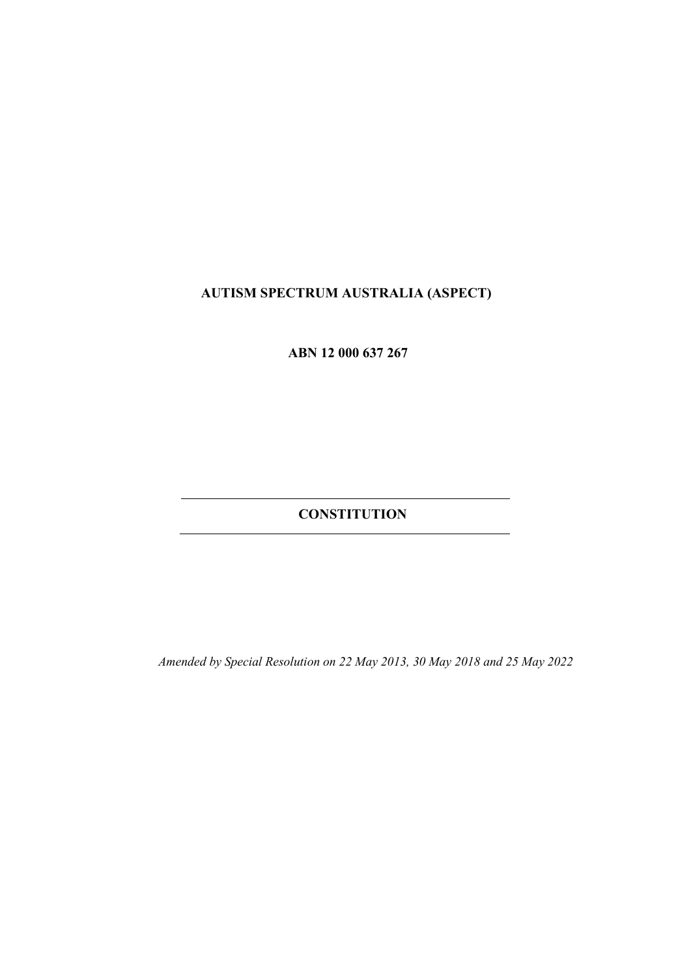# **AUTISM SPECTRUM AUSTRALIA (ASPECT)**

 **ABN 12 000 637 267** 

 **CONSTITUTION**

*Amended by Special Resolution on 22 May 2013, 30 May 2018 and 25 May 2022*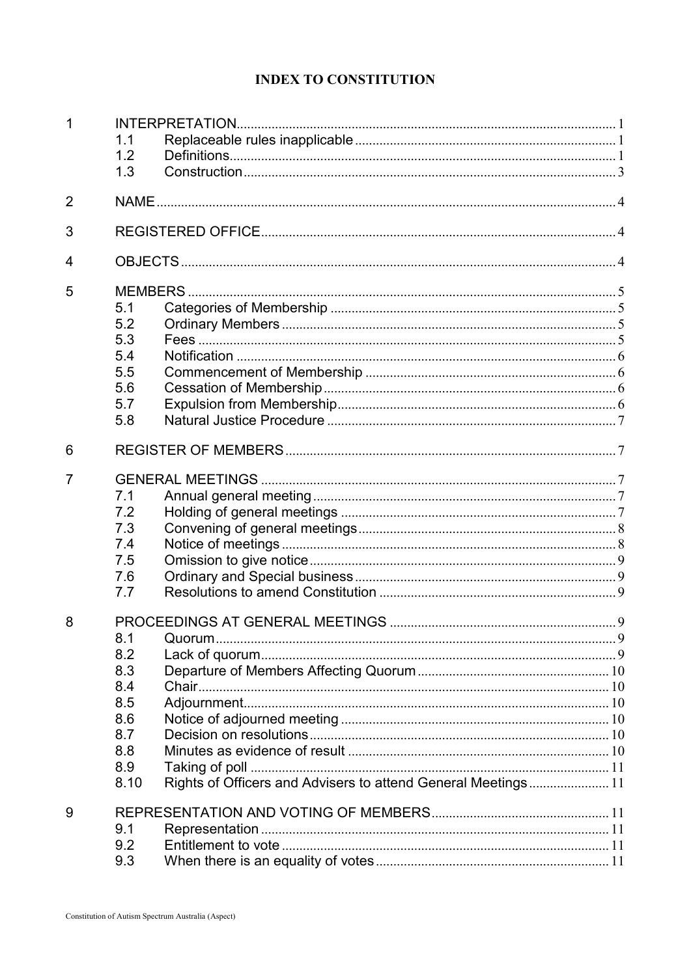# **INDEX TO CONSTITUTION**

| 1              |      |                                                               |  |  |  |  |
|----------------|------|---------------------------------------------------------------|--|--|--|--|
|                | 1.1  |                                                               |  |  |  |  |
|                | 1.2  |                                                               |  |  |  |  |
|                | 1.3  |                                                               |  |  |  |  |
| $\overline{2}$ |      |                                                               |  |  |  |  |
| 3              |      |                                                               |  |  |  |  |
| 4              |      |                                                               |  |  |  |  |
| 5              |      |                                                               |  |  |  |  |
|                | 5.1  |                                                               |  |  |  |  |
|                | 5.2  |                                                               |  |  |  |  |
|                | 5.3  |                                                               |  |  |  |  |
|                | 5.4  |                                                               |  |  |  |  |
|                | 5.5  |                                                               |  |  |  |  |
|                | 5.6  |                                                               |  |  |  |  |
|                | 5.7  |                                                               |  |  |  |  |
|                | 5.8  |                                                               |  |  |  |  |
| 6              |      |                                                               |  |  |  |  |
| 7              |      |                                                               |  |  |  |  |
|                | 7.1  |                                                               |  |  |  |  |
|                | 7.2  |                                                               |  |  |  |  |
|                | 7.3  |                                                               |  |  |  |  |
|                | 7.4  |                                                               |  |  |  |  |
|                | 7.5  |                                                               |  |  |  |  |
|                | 7.6  |                                                               |  |  |  |  |
|                | 7.7  |                                                               |  |  |  |  |
| 8              |      |                                                               |  |  |  |  |
|                | 8.1  |                                                               |  |  |  |  |
|                | 8.2  |                                                               |  |  |  |  |
|                | 8.3  |                                                               |  |  |  |  |
|                | 8.4  |                                                               |  |  |  |  |
|                | 8.5  |                                                               |  |  |  |  |
|                | 8.6  |                                                               |  |  |  |  |
|                | 8.7  |                                                               |  |  |  |  |
|                | 8.8  |                                                               |  |  |  |  |
|                | 8.9  |                                                               |  |  |  |  |
|                | 8.10 | Rights of Officers and Advisers to attend General Meetings 11 |  |  |  |  |
| 9              |      |                                                               |  |  |  |  |
|                | 9.1  |                                                               |  |  |  |  |
|                | 9.2  |                                                               |  |  |  |  |
|                | 9.3  |                                                               |  |  |  |  |
|                |      |                                                               |  |  |  |  |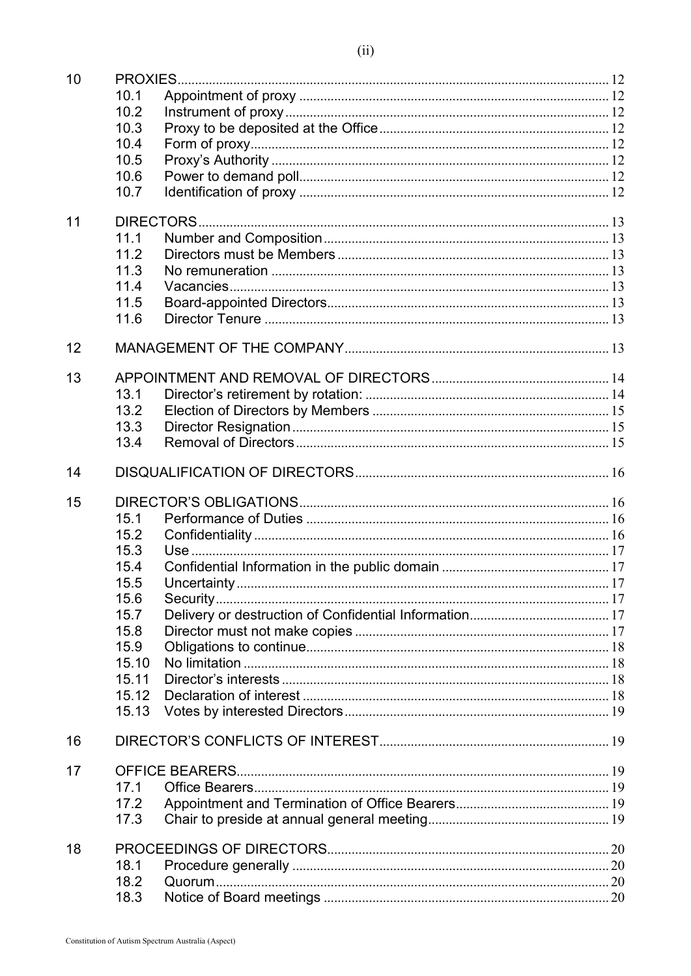| 10 |           |  |  |  |  |  |
|----|-----------|--|--|--|--|--|
|    | 10.1      |  |  |  |  |  |
|    | 10.2      |  |  |  |  |  |
|    | 10.3      |  |  |  |  |  |
|    | 10.4      |  |  |  |  |  |
|    | 10.5      |  |  |  |  |  |
|    | 10.6      |  |  |  |  |  |
|    | 10.7      |  |  |  |  |  |
| 11 | DIRECTORS |  |  |  |  |  |
|    | 11.1      |  |  |  |  |  |
|    | 11.2      |  |  |  |  |  |
|    | 11.3      |  |  |  |  |  |
|    | 11.4      |  |  |  |  |  |
|    | 11.5      |  |  |  |  |  |
|    | 11.6      |  |  |  |  |  |
|    |           |  |  |  |  |  |
| 12 |           |  |  |  |  |  |
| 13 |           |  |  |  |  |  |
|    | 13.1      |  |  |  |  |  |
|    | 13.2      |  |  |  |  |  |
|    | 13.3      |  |  |  |  |  |
|    | 13.4      |  |  |  |  |  |
| 14 |           |  |  |  |  |  |
| 15 |           |  |  |  |  |  |
|    | 15.1      |  |  |  |  |  |
|    | 15.2      |  |  |  |  |  |
|    | 15.3      |  |  |  |  |  |
|    | 15.4      |  |  |  |  |  |
|    | 15.5      |  |  |  |  |  |
|    | 15.6      |  |  |  |  |  |
|    | 15.7      |  |  |  |  |  |
|    | 15.8      |  |  |  |  |  |
|    | 15.9      |  |  |  |  |  |
|    | 15.10     |  |  |  |  |  |
|    | 15.11     |  |  |  |  |  |
|    | 15.12     |  |  |  |  |  |
|    | 15.13     |  |  |  |  |  |
| 16 |           |  |  |  |  |  |
| 17 |           |  |  |  |  |  |
|    | 17.1      |  |  |  |  |  |
|    | 17.2      |  |  |  |  |  |
|    | 17.3      |  |  |  |  |  |
| 18 |           |  |  |  |  |  |
|    | 18.1      |  |  |  |  |  |
|    | 18.2      |  |  |  |  |  |
|    | 18.3      |  |  |  |  |  |
|    |           |  |  |  |  |  |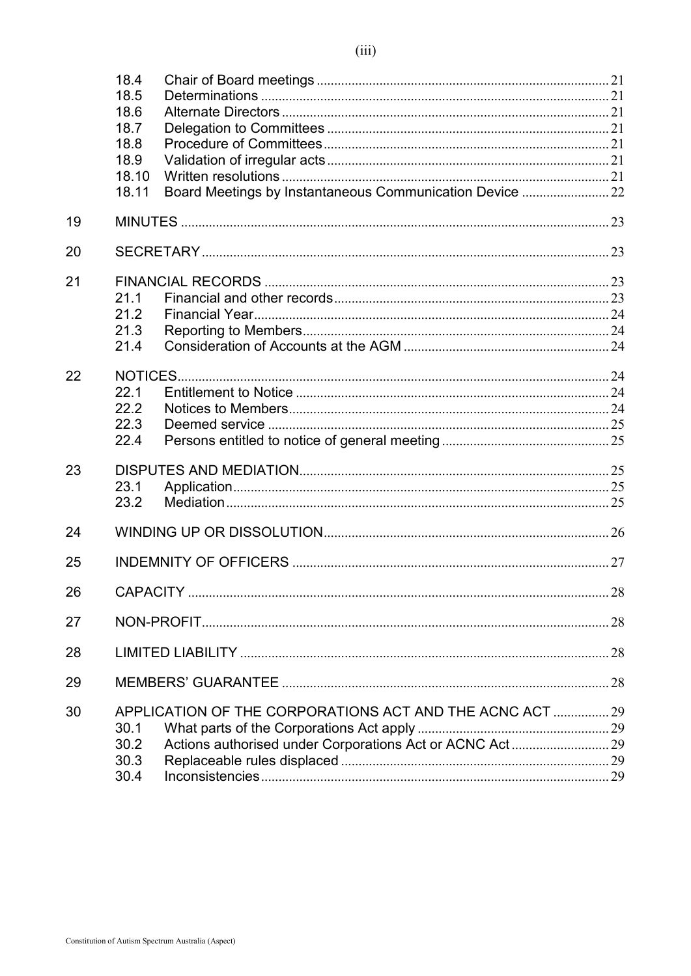|    | 18.4<br>18.5<br>18.6<br>18.7<br>18.8<br>18.9<br>18.10<br>18.11 | Board Meetings by Instantaneous Communication Device  22 |  |  |  |  |
|----|----------------------------------------------------------------|----------------------------------------------------------|--|--|--|--|
| 19 |                                                                |                                                          |  |  |  |  |
| 20 |                                                                |                                                          |  |  |  |  |
| 21 | 21.1<br>21.2<br>21.3<br>21.4                                   |                                                          |  |  |  |  |
| 22 | 22.1<br>22.2<br>22.3<br>22.4                                   |                                                          |  |  |  |  |
| 23 | 23.1<br>23.2                                                   |                                                          |  |  |  |  |
| 24 |                                                                |                                                          |  |  |  |  |
| 25 |                                                                |                                                          |  |  |  |  |
| 26 |                                                                |                                                          |  |  |  |  |
| 27 |                                                                |                                                          |  |  |  |  |
| 28 |                                                                |                                                          |  |  |  |  |
| 29 |                                                                |                                                          |  |  |  |  |
| 30 | 30.1<br>30.2<br>30.3<br>30.4                                   | APPLICATION OF THE CORPORATIONS ACT AND THE ACNC ACT  29 |  |  |  |  |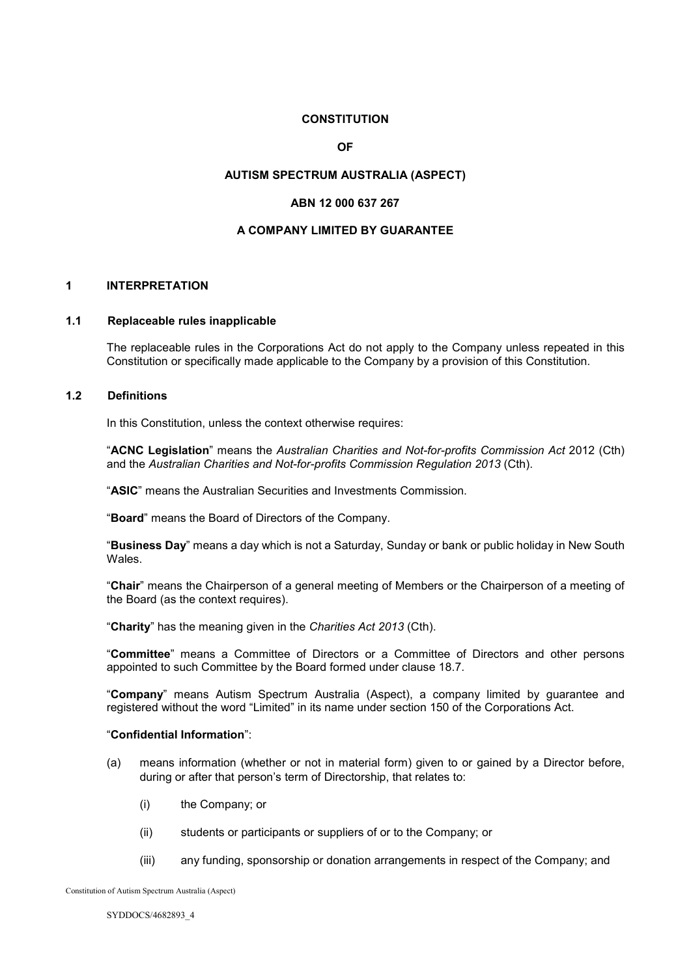#### **CONSTITUTION**

**OF**

#### **AUTISM SPECTRUM AUSTRALIA (ASPECT)**

## **ABN 12 000 637 267**

#### **A COMPANY LIMITED BY GUARANTEE**

## **1 INTERPRETATION**

#### **1.1 Replaceable rules inapplicable**

The replaceable rules in the Corporations Act do not apply to the Company unless repeated in this Constitution or specifically made applicable to the Company by a provision of this Constitution.

## **1.2 Definitions**

In this Constitution, unless the context otherwise requires:

"**ACNC Legislation**" means the *Australian Charities and Not-for-profits Commission Act* 2012 (Cth) and the *Australian Charities and Not-for-profits Commission Regulation 2013* (Cth).

"**ASIC**" means the Australian Securities and Investments Commission.

"**Board**" means the Board of Directors of the Company.

"**Business Day**" means a day which is not a Saturday, Sunday or bank or public holiday in New South Wales.

"**Chair**" means the Chairperson of a general meeting of Members or the Chairperson of a meeting of the Board (as the context requires).

"**Charity**" has the meaning given in the *Charities Act 2013* (Cth).

"**Committee**" means a Committee of Directors or a Committee of Directors and other persons appointed to such Committee by the Board formed under clause 18.7.

"**Company**" means Autism Spectrum Australia (Aspect), a company limited by guarantee and registered without the word "Limited" in its name under section 150 of the Corporations Act.

#### "**Confidential Information**":

- (a) means information (whether or not in material form) given to or gained by a Director before, during or after that person's term of Directorship, that relates to:
	- (i) the Company; or
	- (ii) students or participants or suppliers of or to the Company; or
	- (iii) any funding, sponsorship or donation arrangements in respect of the Company; and

Constitution of Autism Spectrum Australia (Aspect)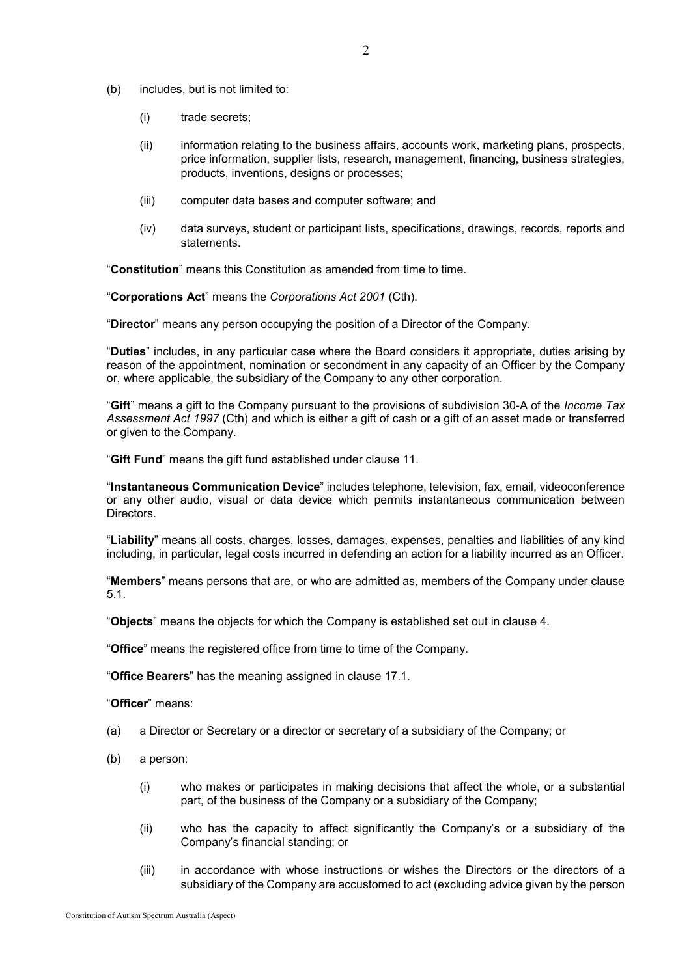- (b) includes, but is not limited to:
	- (i) trade secrets;
	- (ii) information relating to the business affairs, accounts work, marketing plans, prospects, price information, supplier lists, research, management, financing, business strategies, products, inventions, designs or processes;
	- (iii) computer data bases and computer software; and
	- (iv) data surveys, student or participant lists, specifications, drawings, records, reports and statements.

"**Constitution**" means this Constitution as amended from time to time.

"**Corporations Act**" means the *Corporations Act 2001* (Cth).

"**Director**" means any person occupying the position of a Director of the Company.

"**Duties**" includes, in any particular case where the Board considers it appropriate, duties arising by reason of the appointment, nomination or secondment in any capacity of an Officer by the Company or, where applicable, the subsidiary of the Company to any other corporation.

"**Gift**" means a gift to the Company pursuant to the provisions of subdivision 30-A of the *Income Tax Assessment Act 1997* (Cth) and which is either a gift of cash or a gift of an asset made or transferred or given to the Company.

"**Gift Fund**" means the gift fund established under clause 11.

"**Instantaneous Communication Device**" includes telephone, television, fax, email, videoconference or any other audio, visual or data device which permits instantaneous communication between Directors.

"**Liability**" means all costs, charges, losses, damages, expenses, penalties and liabilities of any kind including, in particular, legal costs incurred in defending an action for a liability incurred as an Officer.

"**Members**" means persons that are, or who are admitted as, members of the Company under clause [5.1.](#page-8-0)

"**Objects**" means the objects for which the Company is established set out in clause 4.

"**Office**" means the registered office from time to time of the Company.

"**Office Bearers**" has the meaning assigned in clause [17.1.](#page-22-0)

"**Officer**" means:

- (a) a Director or Secretary or a director or secretary of a subsidiary of the Company; or
- (b) a person:
	- (i) who makes or participates in making decisions that affect the whole, or a substantial part, of the business of the Company or a subsidiary of the Company;
	- (ii) who has the capacity to affect significantly the Company's or a subsidiary of the Company's financial standing; or
	- (iii) in accordance with whose instructions or wishes the Directors or the directors of a subsidiary of the Company are accustomed to act (excluding advice given by the person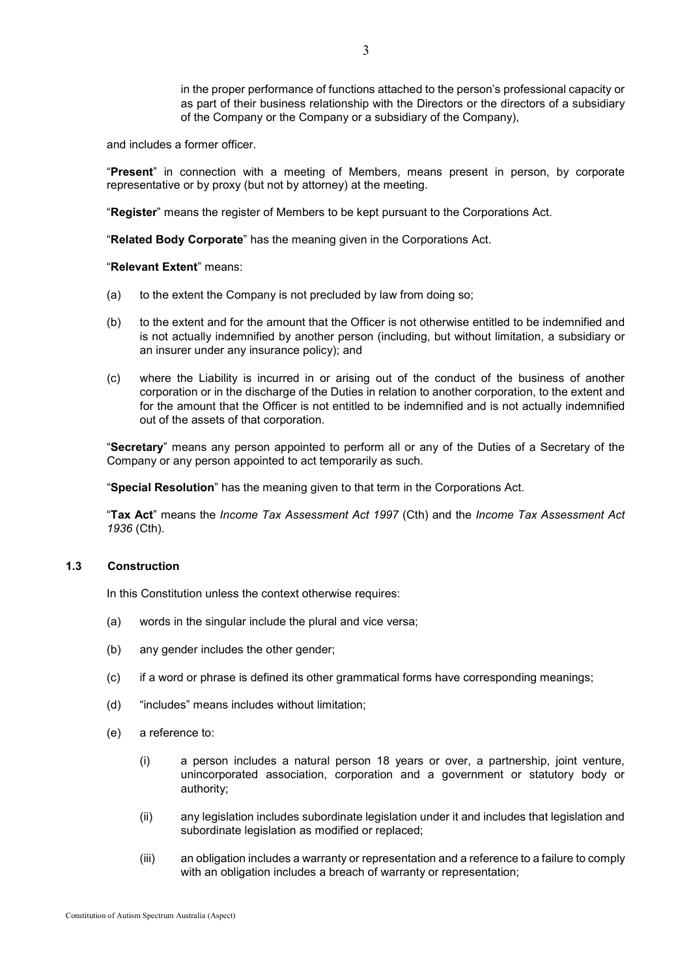in the proper performance of functions attached to the person's professional capacity or as part of their business relationship with the Directors or the directors of a subsidiary of the Company or the Company or a subsidiary of the Company),

and includes a former officer.

"**Present**" in connection with a meeting of Members, means present in person, by corporate representative or by proxy (but not by attorney) at the meeting.

"**Register**" means the register of Members to be kept pursuant to the Corporations Act.

"**Related Body Corporate**" has the meaning given in the Corporations Act.

"**Relevant Extent**" means:

- (a) to the extent the Company is not precluded by law from doing so;
- (b) to the extent and for the amount that the Officer is not otherwise entitled to be indemnified and is not actually indemnified by another person (including, but without limitation, a subsidiary or an insurer under any insurance policy); and
- (c) where the Liability is incurred in or arising out of the conduct of the business of another corporation or in the discharge of the Duties in relation to another corporation, to the extent and for the amount that the Officer is not entitled to be indemnified and is not actually indemnified out of the assets of that corporation.

"**Secretary**" means any person appointed to perform all or any of the Duties of a Secretary of the Company or any person appointed to act temporarily as such.

"**Special Resolution**" has the meaning given to that term in the Corporations Act.

"**Tax Act**" means the *Income Tax Assessment Act 1997* (Cth) and the *Income Tax Assessment Act 1936* (Cth).

## **1.3 Construction**

In this Constitution unless the context otherwise requires:

- (a) words in the singular include the plural and vice versa;
- (b) any gender includes the other gender;
- (c) if a word or phrase is defined its other grammatical forms have corresponding meanings;
- (d) "includes" means includes without limitation;
- (e) a reference to:
	- (i) a person includes a natural person 18 years or over, a partnership, joint venture, unincorporated association, corporation and a government or statutory body or authority;
	- (ii) any legislation includes subordinate legislation under it and includes that legislation and subordinate legislation as modified or replaced;
	- (iii) an obligation includes a warranty or representation and a reference to a failure to comply with an obligation includes a breach of warranty or representation;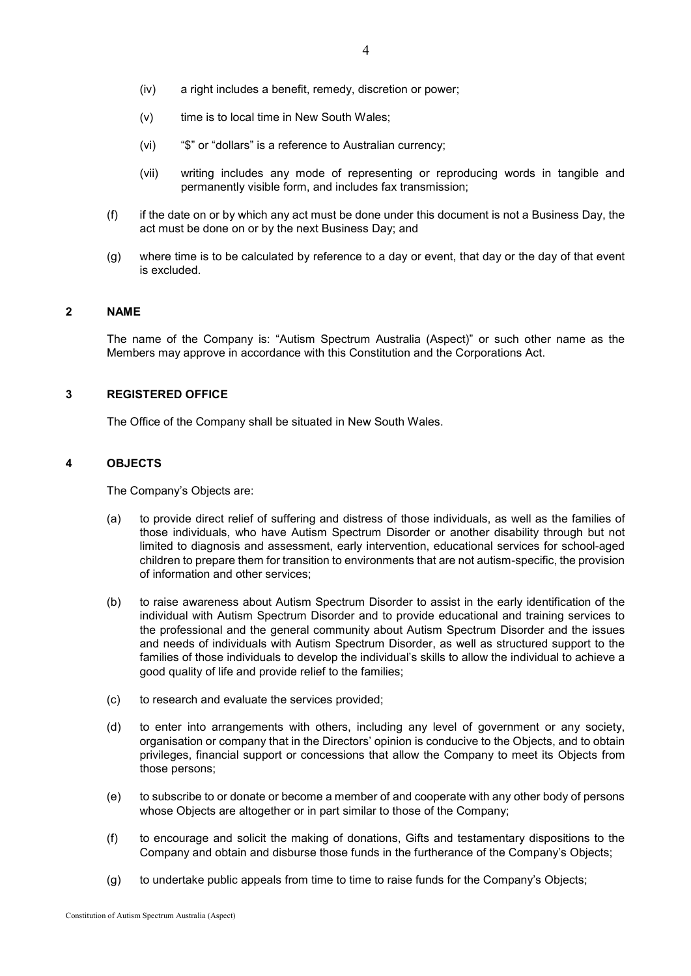- (iv) a right includes a benefit, remedy, discretion or power;
- (v) time is to local time in New South Wales;
- (vi) "\$" or "dollars" is a reference to Australian currency;
- (vii) writing includes any mode of representing or reproducing words in tangible and permanently visible form, and includes fax transmission;
- $(f)$  if the date on or by which any act must be done under this document is not a Business Day, the act must be done on or by the next Business Day; and
- (g) where time is to be calculated by reference to a day or event, that day or the day of that event is excluded.

#### **2 NAME**

The name of the Company is: "Autism Spectrum Australia (Aspect)" or such other name as the Members may approve in accordance with this Constitution and the Corporations Act.

#### **3 REGISTERED OFFICE**

The Office of the Company shall be situated in New South Wales.

#### **4 OBJECTS**

The Company's Objects are:

- (a) to provide direct relief of suffering and distress of those individuals, as well as the families of those individuals, who have Autism Spectrum Disorder or another disability through but not limited to diagnosis and assessment, early intervention, educational services for school-aged children to prepare them for transition to environments that are not autism-specific, the provision of information and other services;
- (b) to raise awareness about Autism Spectrum Disorder to assist in the early identification of the individual with Autism Spectrum Disorder and to provide educational and training services to the professional and the general community about Autism Spectrum Disorder and the issues and needs of individuals with Autism Spectrum Disorder, as well as structured support to the families of those individuals to develop the individual's skills to allow the individual to achieve a good quality of life and provide relief to the families;
- (c) to research and evaluate the services provided;
- (d) to enter into arrangements with others, including any level of government or any society, organisation or company that in the Directors' opinion is conducive to the Objects, and to obtain privileges, financial support or concessions that allow the Company to meet its Objects from those persons;
- (e) to subscribe to or donate or become a member of and cooperate with any other body of persons whose Objects are altogether or in part similar to those of the Company:
- (f) to encourage and solicit the making of donations, Gifts and testamentary dispositions to the Company and obtain and disburse those funds in the furtherance of the Company's Objects;
- (g) to undertake public appeals from time to time to raise funds for the Company's Objects;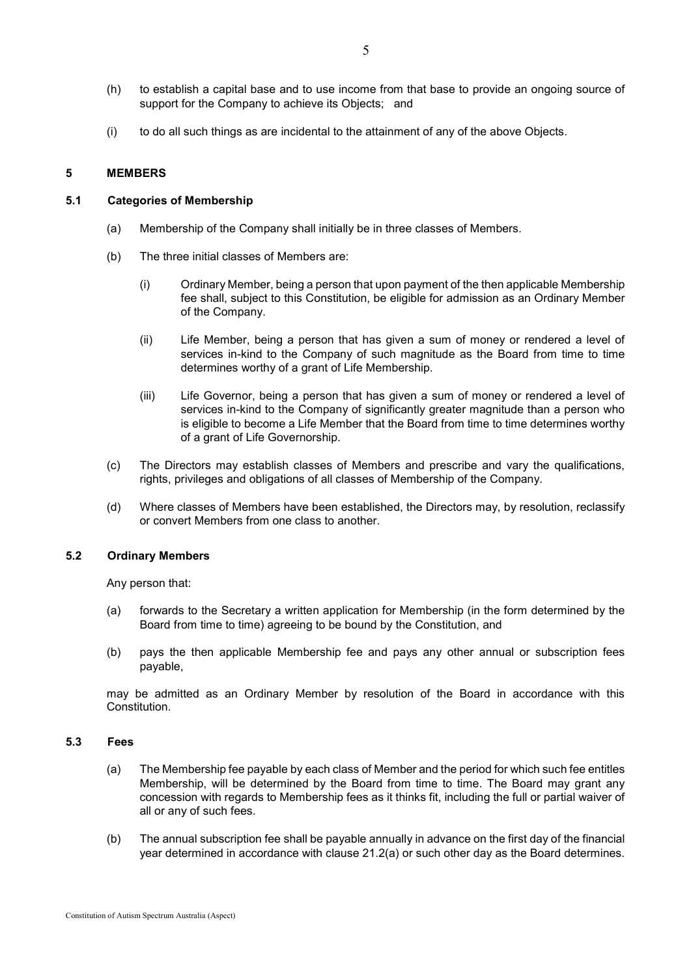- (h) to establish a capital base and to use income from that base to provide an ongoing source of support for the Company to achieve its Objects; and
- (i) to do all such things as are incidental to the attainment of any of the above Objects.

#### **5 MEMBERS**

### <span id="page-8-0"></span>**5.1 Categories of Membership**

- (a) Membership of the Company shall initially be in three classes of Members.
- (b) The three initial classes of Members are:
	- (i) Ordinary Member, being a person that upon payment of the then applicable Membership fee shall, subject to this Constitution, be eligible for admission as an Ordinary Member of the Company.
	- (ii) Life Member, being a person that has given a sum of money or rendered a level of services in-kind to the Company of such magnitude as the Board from time to time determines worthy of a grant of Life Membership.
	- (iii) Life Governor, being a person that has given a sum of money or rendered a level of services in-kind to the Company of significantly greater magnitude than a person who is eligible to become a Life Member that the Board from time to time determines worthy of a grant of Life Governorship.
- (c) The Directors may establish classes of Members and prescribe and vary the qualifications, rights, privileges and obligations of all classes of Membership of the Company.
- (d) Where classes of Members have been established, the Directors may, by resolution, reclassify or convert Members from one class to another.

#### <span id="page-8-2"></span>**5.2 Ordinary Members**

Any person that:

- (a) forwards to the Secretary a written application for Membership (in the form determined by the Board from time to time) agreeing to be bound by the Constitution, and
- (b) pays the then applicable Membership fee and pays any other annual or subscription fees payable,

may be admitted as an Ordinary Member by resolution of the Board in accordance with this **Constitution** 

#### <span id="page-8-1"></span>**5.3 Fees**

- (a) The Membership fee payable by each class of Member and the period for which such fee entitles Membership, will be determined by the Board from time to time. The Board may grant any concession with regards to Membership fees as it thinks fit, including the full or partial waiver of all or any of such fees.
- (b) The annual subscription fee shall be payable annually in advance on the first day of the financial year determined in accordance with clause [21.2\(a\)](#page-27-0) or such other day as the Board determines.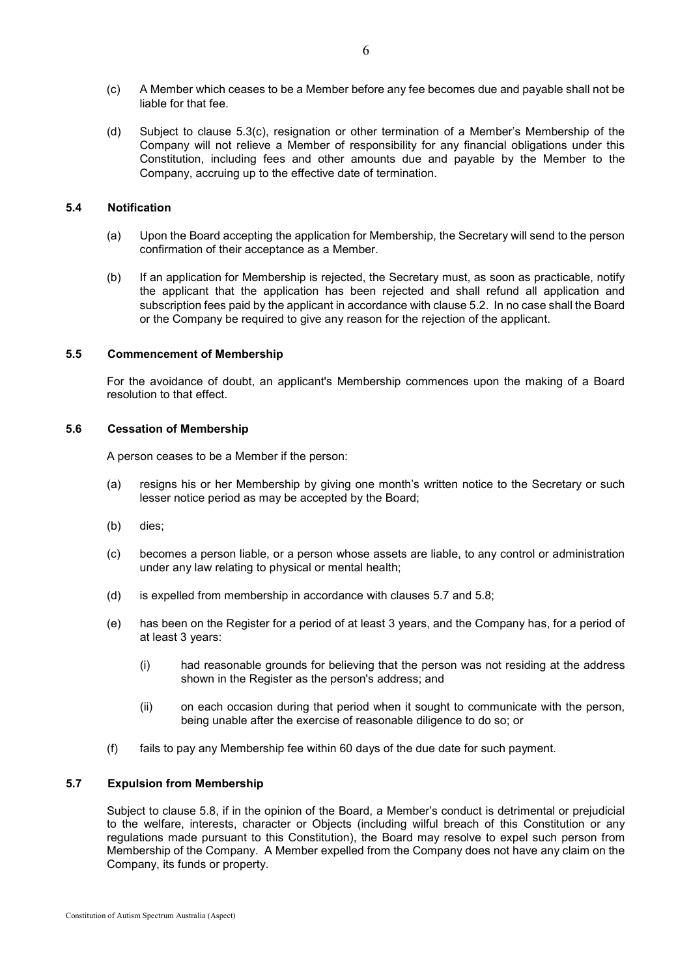- <span id="page-9-0"></span>(c) A Member which ceases to be a Member before any fee becomes due and payable shall not be liable for that fee.
- (d) Subject to clause [5.3](#page-8-1)[\(c\),](#page-9-0) resignation or other termination of a Member's Membership of the Company will not relieve a Member of responsibility for any financial obligations under this Constitution, including fees and other amounts due and payable by the Member to the Company, accruing up to the effective date of termination.

#### **5.4 Notification**

- (a) Upon the Board accepting the application for Membership, the Secretary will send to the person confirmation of their acceptance as a Member.
- (b) If an application for Membership is rejected, the Secretary must, as soon as practicable, notify the applicant that the application has been rejected and shall refund all application and subscription fees paid by the applicant in accordance with claus[e 5.2.](#page-8-2) In no case shall the Board or the Company be required to give any reason for the rejection of the applicant.

#### **5.5 Commencement of Membership**

For the avoidance of doubt, an applicant's Membership commences upon the making of a Board resolution to that effect.

## **5.6 Cessation of Membership**

A person ceases to be a Member if the person:

- (a) resigns his or her Membership by giving one month's written notice to the Secretary or such lesser notice period as may be accepted by the Board;
- (b) dies;
- (c) becomes a person liable, or a person whose assets are liable, to any control or administration under any law relating to physical or mental health;
- (d) is expelled from membership in accordance with clauses [5.7](#page-9-1) and [5.8;](#page-10-0)
- (e) has been on the Register for a period of at least 3 years, and the Company has, for a period of at least 3 years:
	- (i) had reasonable grounds for believing that the person was not residing at the address shown in the Register as the person's address; and
	- (ii) on each occasion during that period when it sought to communicate with the person, being unable after the exercise of reasonable diligence to do so; or
- $(f)$  fails to pay any Membership fee within 60 days of the due date for such payment.

## <span id="page-9-1"></span>**5.7 Expulsion from Membership**

Subject to clause [5.8,](#page-10-0) if in the opinion of the Board, a Member's conduct is detrimental or prejudicial to the welfare, interests, character or Objects (including wilful breach of this Constitution or any regulations made pursuant to this Constitution), the Board may resolve to expel such person from Membership of the Company. A Member expelled from the Company does not have any claim on the Company, its funds or property.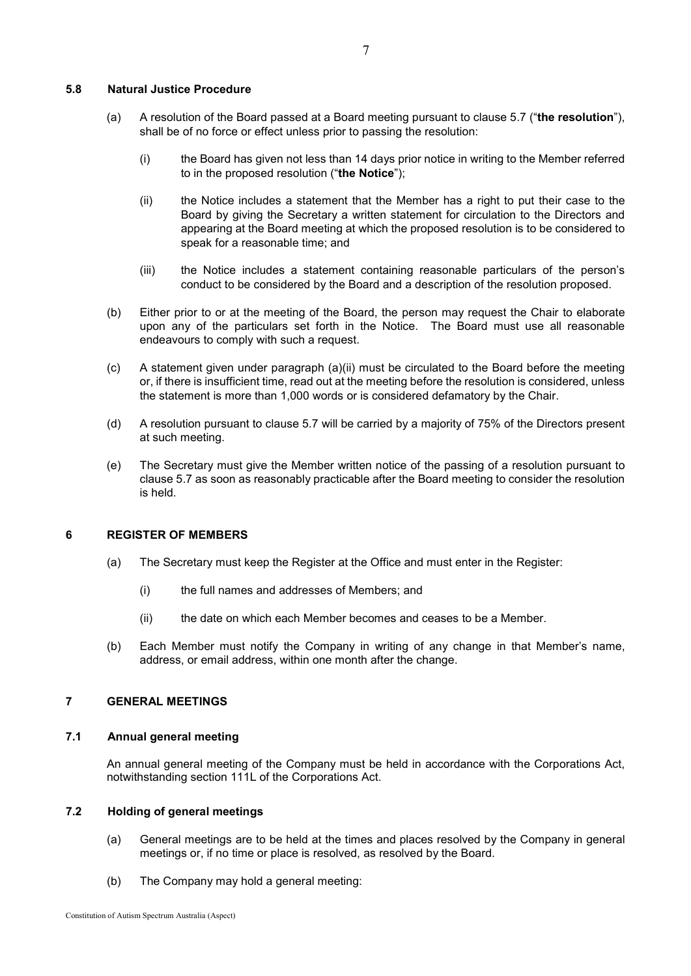## <span id="page-10-0"></span>**5.8 Natural Justice Procedure**

- (a) A resolution of the Board passed at a Board meeting pursuant to clause [5.7](#page-9-1) ("**the resolution**"), shall be of no force or effect unless prior to passing the resolution:
	- (i) the Board has given not less than 14 days prior notice in writing to the Member referred to in the proposed resolution ("**the Notice**");
	- (ii) the Notice includes a statement that the Member has a right to put their case to the Board by giving the Secretary a written statement for circulation to the Directors and appearing at the Board meeting at which the proposed resolution is to be considered to speak for a reasonable time; and
	- (iii) the Notice includes a statement containing reasonable particulars of the person's conduct to be considered by the Board and a description of the resolution proposed.
- (b) Either prior to or at the meeting of the Board, the person may request the Chair to elaborate upon any of the particulars set forth in the Notice. The Board must use all reasonable endeavours to comply with such a request.
- (c) A statement given under paragraph (a)(ii) must be circulated to the Board before the meeting or, if there is insufficient time, read out at the meeting before the resolution is considered, unless the statement is more than 1,000 words or is considered defamatory by the Chair.
- (d) A resolution pursuant to clause [5.7](#page-9-1) will be carried by a majority of 75% of the Directors present at such meeting.
- (e) The Secretary must give the Member written notice of the passing of a resolution pursuant to clause [5.7](#page-9-1) as soon as reasonably practicable after the Board meeting to consider the resolution is held.

#### **6 REGISTER OF MEMBERS**

- (a) The Secretary must keep the Register at the Office and must enter in the Register:
	- (i) the full names and addresses of Members; and
	- (ii) the date on which each Member becomes and ceases to be a Member.
- (b) Each Member must notify the Company in writing of any change in that Member's name, address, or email address, within one month after the change.

## **7 GENERAL MEETINGS**

#### **7.1 Annual general meeting**

An annual general meeting of the Company must be held in accordance with the Corporations Act, notwithstanding section 111L of the Corporations Act.

## **7.2 Holding of general meetings**

- (a) General meetings are to be held at the times and places resolved by the Company in general meetings or, if no time or place is resolved, as resolved by the Board.
- (b) The Company may hold a general meeting: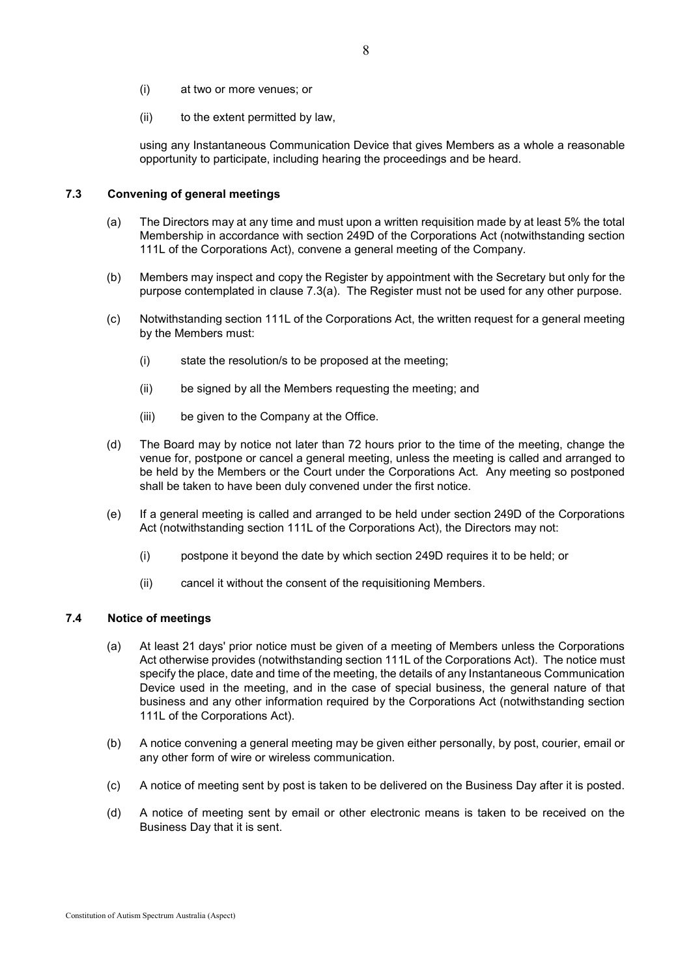- (i) at two or more venues; or
- (ii) to the extent permitted by law,

using any Instantaneous Communication Device that gives Members as a whole a reasonable opportunity to participate, including hearing the proceedings and be heard.

# <span id="page-11-1"></span><span id="page-11-0"></span>**7.3 Convening of general meetings**

- (a) The Directors may at any time and must upon a written requisition made by at least 5% the total Membership in accordance with section 249D of the Corporations Act (notwithstanding section 111L of the Corporations Act), convene a general meeting of the Company.
- (b) Members may inspect and copy the Register by appointment with the Secretary but only for the purpose contemplated in clause [7.3](#page-11-0)[\(a\).](#page-11-1) The Register must not be used for any other purpose.
- (c) Notwithstanding section 111L of the Corporations Act, the written request for a general meeting by the Members must:
	- (i) state the resolution/s to be proposed at the meeting;
	- (ii) be signed by all the Members requesting the meeting; and
	- (iii) be given to the Company at the Office.
- (d) The Board may by notice not later than 72 hours prior to the time of the meeting, change the venue for, postpone or cancel a general meeting, unless the meeting is called and arranged to be held by the Members or the Court under the Corporations Act. Any meeting so postponed shall be taken to have been duly convened under the first notice.
- (e) If a general meeting is called and arranged to be held under section 249D of the Corporations Act (notwithstanding section 111L of the Corporations Act), the Directors may not:
	- (i) postpone it beyond the date by which section 249D requires it to be held; or
	- (ii) cancel it without the consent of the requisitioning Members.

# <span id="page-11-2"></span>**7.4 Notice of meetings**

- (a) At least 21 days' prior notice must be given of a meeting of Members unless the Corporations Act otherwise provides (notwithstanding section 111L of the Corporations Act). The notice must specify the place, date and time of the meeting, the details of any Instantaneous Communication Device used in the meeting, and in the case of special business, the general nature of that business and any other information required by the Corporations Act (notwithstanding section 111L of the Corporations Act).
- (b) A notice convening a general meeting may be given either personally, by post, courier, email or any other form of wire or wireless communication.
- (c) A notice of meeting sent by post is taken to be delivered on the Business Day after it is posted.
- (d) A notice of meeting sent by email or other electronic means is taken to be received on the Business Day that it is sent.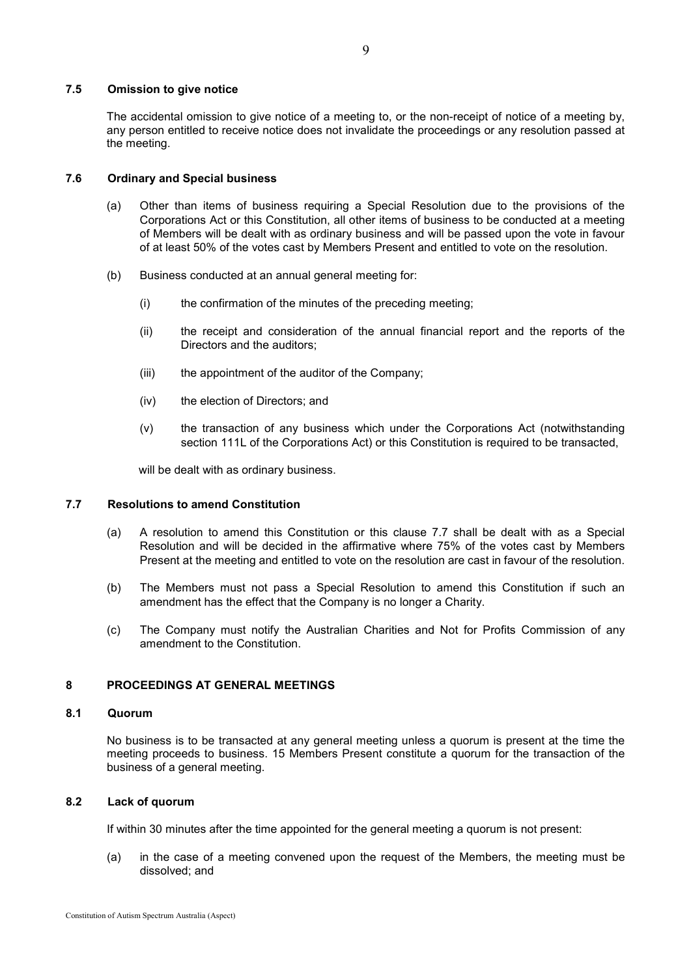## **7.5 Omission to give notice**

The accidental omission to give notice of a meeting to, or the non-receipt of notice of a meeting by, any person entitled to receive notice does not invalidate the proceedings or any resolution passed at the meeting.

#### **7.6 Ordinary and Special business**

- (a) Other than items of business requiring a Special Resolution due to the provisions of the Corporations Act or this Constitution, all other items of business to be conducted at a meeting of Members will be dealt with as ordinary business and will be passed upon the vote in favour of at least 50% of the votes cast by Members Present and entitled to vote on the resolution.
- (b) Business conducted at an annual general meeting for:
	- (i) the confirmation of the minutes of the preceding meeting;
	- (ii) the receipt and consideration of the annual financial report and the reports of the Directors and the auditors;
	- (iii) the appointment of the auditor of the Company;
	- (iv) the election of Directors; and
	- (v) the transaction of any business which under the Corporations Act (notwithstanding section 111L of the Corporations Act) or this Constitution is required to be transacted,

will be dealt with as ordinary business.

#### <span id="page-12-0"></span>**7.7 Resolutions to amend Constitution**

- (a) A resolution to amend this Constitution or this clause [7.7](#page-12-0) shall be dealt with as a Special Resolution and will be decided in the affirmative where 75% of the votes cast by Members Present at the meeting and entitled to vote on the resolution are cast in favour of the resolution.
- (b) The Members must not pass a Special Resolution to amend this Constitution if such an amendment has the effect that the Company is no longer a Charity.
- (c) The Company must notify the Australian Charities and Not for Profits Commission of any amendment to the Constitution.

#### **8 PROCEEDINGS AT GENERAL MEETINGS**

#### **8.1 Quorum**

No business is to be transacted at any general meeting unless a quorum is present at the time the meeting proceeds to business. 15 Members Present constitute a quorum for the transaction of the business of a general meeting.

### **8.2 Lack of quorum**

If within 30 minutes after the time appointed for the general meeting a quorum is not present:

(a) in the case of a meeting convened upon the request of the Members, the meeting must be dissolved; and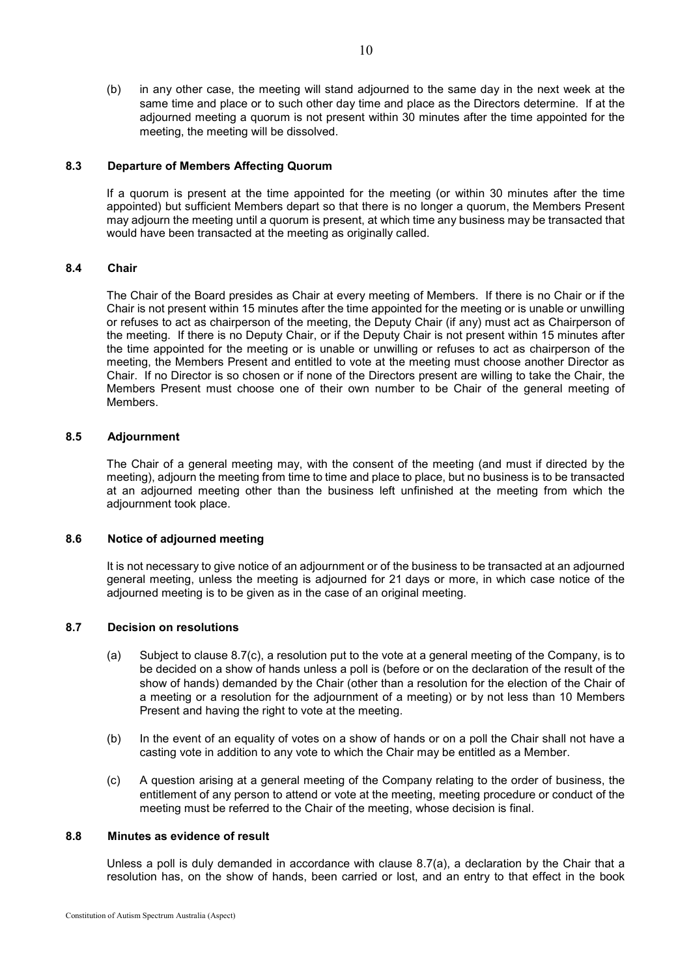(b) in any other case, the meeting will stand adjourned to the same day in the next week at the same time and place or to such other day time and place as the Directors determine. If at the adjourned meeting a quorum is not present within 30 minutes after the time appointed for the meeting, the meeting will be dissolved.

#### **8.3 Departure of Members Affecting Quorum**

If a quorum is present at the time appointed for the meeting (or within 30 minutes after the time appointed) but sufficient Members depart so that there is no longer a quorum, the Members Present may adjourn the meeting until a quorum is present, at which time any business may be transacted that would have been transacted at the meeting as originally called.

#### **8.4 Chair**

The Chair of the Board presides as Chair at every meeting of Members. If there is no Chair or if the Chair is not present within 15 minutes after the time appointed for the meeting or is unable or unwilling or refuses to act as chairperson of the meeting, the Deputy Chair (if any) must act as Chairperson of the meeting. If there is no Deputy Chair, or if the Deputy Chair is not present within 15 minutes after the time appointed for the meeting or is unable or unwilling or refuses to act as chairperson of the meeting, the Members Present and entitled to vote at the meeting must choose another Director as Chair. If no Director is so chosen or if none of the Directors present are willing to take the Chair, the Members Present must choose one of their own number to be Chair of the general meeting of Members.

## **8.5 Adjournment**

The Chair of a general meeting may, with the consent of the meeting (and must if directed by the meeting), adjourn the meeting from time to time and place to place, but no business is to be transacted at an adjourned meeting other than the business left unfinished at the meeting from which the adjournment took place.

#### **8.6 Notice of adjourned meeting**

It is not necessary to give notice of an adjournment or of the business to be transacted at an adjourned general meeting, unless the meeting is adjourned for 21 days or more, in which case notice of the adjourned meeting is to be given as in the case of an original meeting.

#### <span id="page-13-2"></span><span id="page-13-0"></span>**8.7 Decision on resolutions**

- (a) Subject to clause [8.7](#page-13-0)[\(c\),](#page-13-1) a resolution put to the vote at a general meeting of the Company, is to be decided on a show of hands unless a poll is (before or on the declaration of the result of the show of hands) demanded by the Chair (other than a resolution for the election of the Chair of a meeting or a resolution for the adjournment of a meeting) or by not less than 10 Members Present and having the right to vote at the meeting.
- (b) In the event of an equality of votes on a show of hands or on a poll the Chair shall not have a casting vote in addition to any vote to which the Chair may be entitled as a Member.
- <span id="page-13-1"></span>(c) A question arising at a general meeting of the Company relating to the order of business, the entitlement of any person to attend or vote at the meeting, meeting procedure or conduct of the meeting must be referred to the Chair of the meeting, whose decision is final.

#### **8.8 Minutes as evidence of result**

Unless a poll is duly demanded in accordance with clause [8.7\(a\),](#page-13-2) a declaration by the Chair that a resolution has, on the show of hands, been carried or lost, and an entry to that effect in the book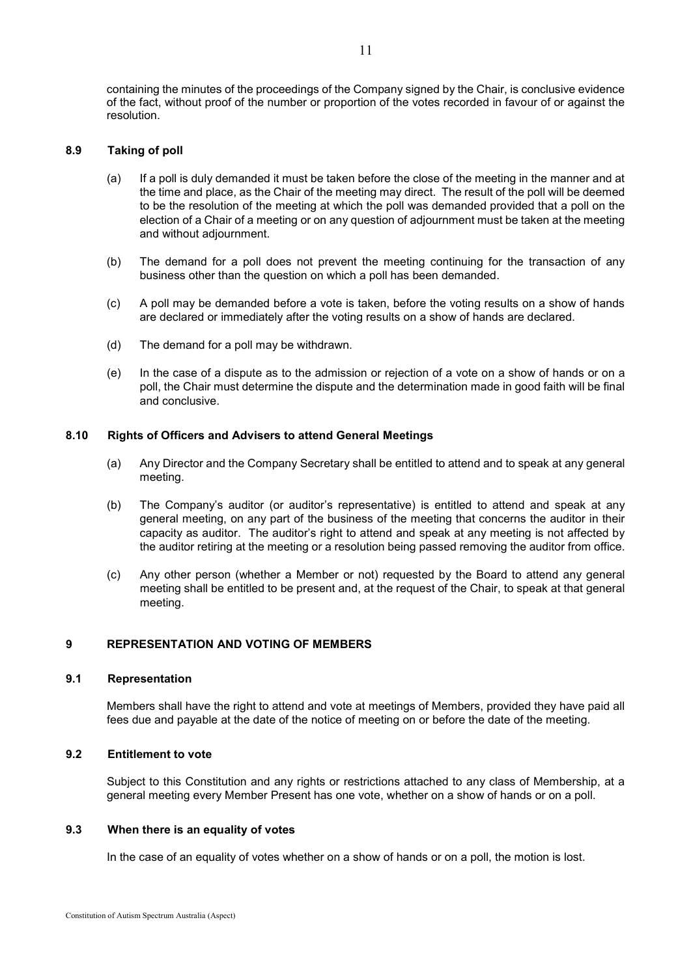containing the minutes of the proceedings of the Company signed by the Chair, is conclusive evidence of the fact, without proof of the number or proportion of the votes recorded in favour of or against the resolution.

## **8.9 Taking of poll**

- (a) If a poll is duly demanded it must be taken before the close of the meeting in the manner and at the time and place, as the Chair of the meeting may direct. The result of the poll will be deemed to be the resolution of the meeting at which the poll was demanded provided that a poll on the election of a Chair of a meeting or on any question of adjournment must be taken at the meeting and without adjournment.
- (b) The demand for a poll does not prevent the meeting continuing for the transaction of any business other than the question on which a poll has been demanded.
- (c) A poll may be demanded before a vote is taken, before the voting results on a show of hands are declared or immediately after the voting results on a show of hands are declared.
- (d) The demand for a poll may be withdrawn.
- (e) In the case of a dispute as to the admission or rejection of a vote on a show of hands or on a poll, the Chair must determine the dispute and the determination made in good faith will be final and conclusive.

#### **8.10 Rights of Officers and Advisers to attend General Meetings**

- (a) Any Director and the Company Secretary shall be entitled to attend and to speak at any general meeting.
- (b) The Company's auditor (or auditor's representative) is entitled to attend and speak at any general meeting, on any part of the business of the meeting that concerns the auditor in their capacity as auditor. The auditor's right to attend and speak at any meeting is not affected by the auditor retiring at the meeting or a resolution being passed removing the auditor from office.
- (c) Any other person (whether a Member or not) requested by the Board to attend any general meeting shall be entitled to be present and, at the request of the Chair, to speak at that general meeting.

#### **9 REPRESENTATION AND VOTING OF MEMBERS**

#### **9.1 Representation**

Members shall have the right to attend and vote at meetings of Members, provided they have paid all fees due and payable at the date of the notice of meeting on or before the date of the meeting.

## **9.2 Entitlement to vote**

Subject to this Constitution and any rights or restrictions attached to any class of Membership, at a general meeting every Member Present has one vote, whether on a show of hands or on a poll.

#### **9.3 When there is an equality of votes**

In the case of an equality of votes whether on a show of hands or on a poll, the motion is lost.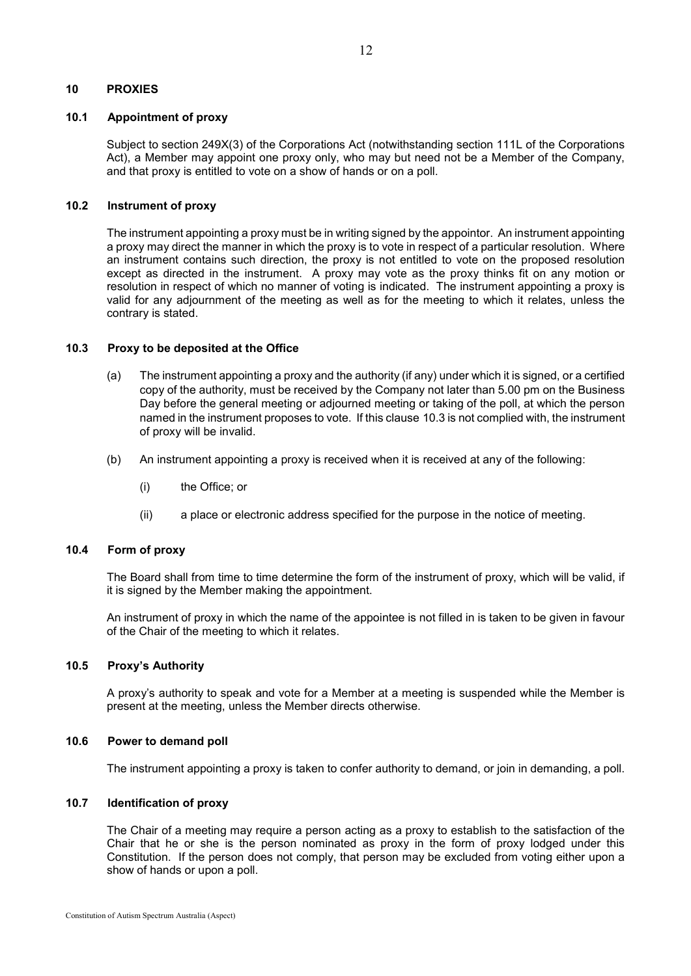# **10 PROXIES**

#### **10.1 Appointment of proxy**

Subject to section 249X(3) of the Corporations Act (notwithstanding section 111L of the Corporations Act), a Member may appoint one proxy only, who may but need not be a Member of the Company, and that proxy is entitled to vote on a show of hands or on a poll.

## **10.2 Instrument of proxy**

The instrument appointing a proxy must be in writing signed by the appointor. An instrument appointing a proxy may direct the manner in which the proxy is to vote in respect of a particular resolution. Where an instrument contains such direction, the proxy is not entitled to vote on the proposed resolution except as directed in the instrument. A proxy may vote as the proxy thinks fit on any motion or resolution in respect of which no manner of voting is indicated. The instrument appointing a proxy is valid for any adjournment of the meeting as well as for the meeting to which it relates, unless the contrary is stated.

## <span id="page-15-0"></span>**10.3 Proxy to be deposited at the Office**

- (a) The instrument appointing a proxy and the authority (if any) under which it is signed, or a certified copy of the authority, must be received by the Company not later than 5.00 pm on the Business Day before the general meeting or adjourned meeting or taking of the poll, at which the person named in the instrument proposes to vote. If this clause [10.3](#page-15-0) is not complied with, the instrument of proxy will be invalid.
- (b) An instrument appointing a proxy is received when it is received at any of the following:
	- (i) the Office; or
	- (ii) a place or electronic address specified for the purpose in the notice of meeting.

#### **10.4 Form of proxy**

The Board shall from time to time determine the form of the instrument of proxy, which will be valid, if it is signed by the Member making the appointment.

An instrument of proxy in which the name of the appointee is not filled in is taken to be given in favour of the Chair of the meeting to which it relates.

## **10.5 Proxy's Authority**

A proxy's authority to speak and vote for a Member at a meeting is suspended while the Member is present at the meeting, unless the Member directs otherwise.

#### **10.6 Power to demand poll**

The instrument appointing a proxy is taken to confer authority to demand, or join in demanding, a poll.

#### **10.7 Identification of proxy**

The Chair of a meeting may require a person acting as a proxy to establish to the satisfaction of the Chair that he or she is the person nominated as proxy in the form of proxy lodged under this Constitution. If the person does not comply, that person may be excluded from voting either upon a show of hands or upon a poll.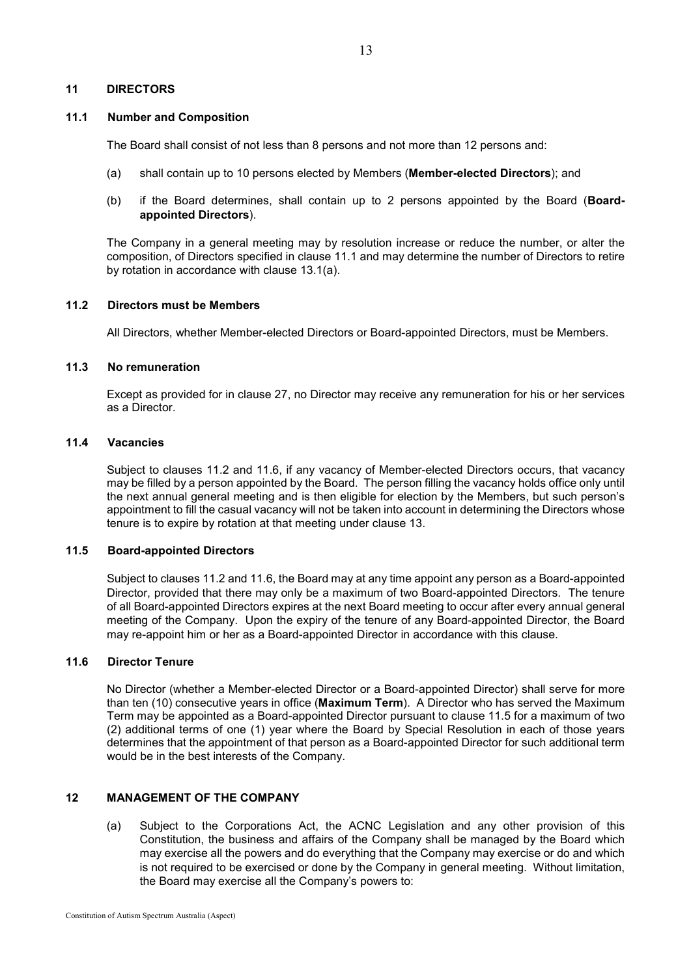#### **11 DIRECTORS**

#### **11.1 Number and Composition**

The Board shall consist of not less than 8 persons and not more than 12 persons and:

- (a) shall contain up to 10 persons elected by Members (**Member-elected Directors**); and
- (b) if the Board determines, shall contain up to 2 persons appointed by the Board (**Boardappointed Directors**).

The Company in a general meeting may by resolution increase or reduce the number, or alter the composition, of Directors specified in clause 11.1 and may determine the number of Directors to retire by rotation in accordance with clause [13.1\(a\).](#page-17-0)

# **11.2 Directors must be Members**

All Directors, whether Member-elected Directors or Board-appointed Directors, must be Members.

## **11.3 No remuneration**

Except as provided for in clause [27,](#page-31-0) no Director may receive any remuneration for his or her services as a Director.

# **11.4 Vacancies**

Subject to clauses 11.2 and [11.6,](#page-16-0) if any vacancy of Member-elected Directors occurs, that vacancy may be filled by a person appointed by the Board. The person filling the vacancy holds office only until the next annual general meeting and is then eligible for election by the Members, but such person's appointment to fill the casual vacancy will not be taken into account in determining the Directors whose tenure is to expire by rotation at that meeting under clause [13.](#page-17-1)

## <span id="page-16-1"></span>**11.5 Board-appointed Directors**

Subject to clauses 11.2 an[d 11.6,](#page-16-0) the Board may at any time appoint any person as a Board-appointed Director, provided that there may only be a maximum of two Board-appointed Directors. The tenure of all Board-appointed Directors expires at the next Board meeting to occur after every annual general meeting of the Company. Upon the expiry of the tenure of any Board-appointed Director, the Board may re-appoint him or her as a Board-appointed Director in accordance with this clause.

## <span id="page-16-0"></span>**11.6 Director Tenure**

No Director (whether a Member-elected Director or a Board-appointed Director) shall serve for more than ten (10) consecutive years in office (**Maximum Term**). A Director who has served the Maximum Term may be appointed as a Board-appointed Director pursuant to clause [11.5](#page-16-1) for a maximum of two (2) additional terms of one (1) year where the Board by Special Resolution in each of those years determines that the appointment of that person as a Board-appointed Director for such additional term would be in the best interests of the Company.

## **12 MANAGEMENT OF THE COMPANY**

(a) Subject to the Corporations Act, the ACNC Legislation and any other provision of this Constitution, the business and affairs of the Company shall be managed by the Board which may exercise all the powers and do everything that the Company may exercise or do and which is not required to be exercised or done by the Company in general meeting. Without limitation, the Board may exercise all the Company's powers to: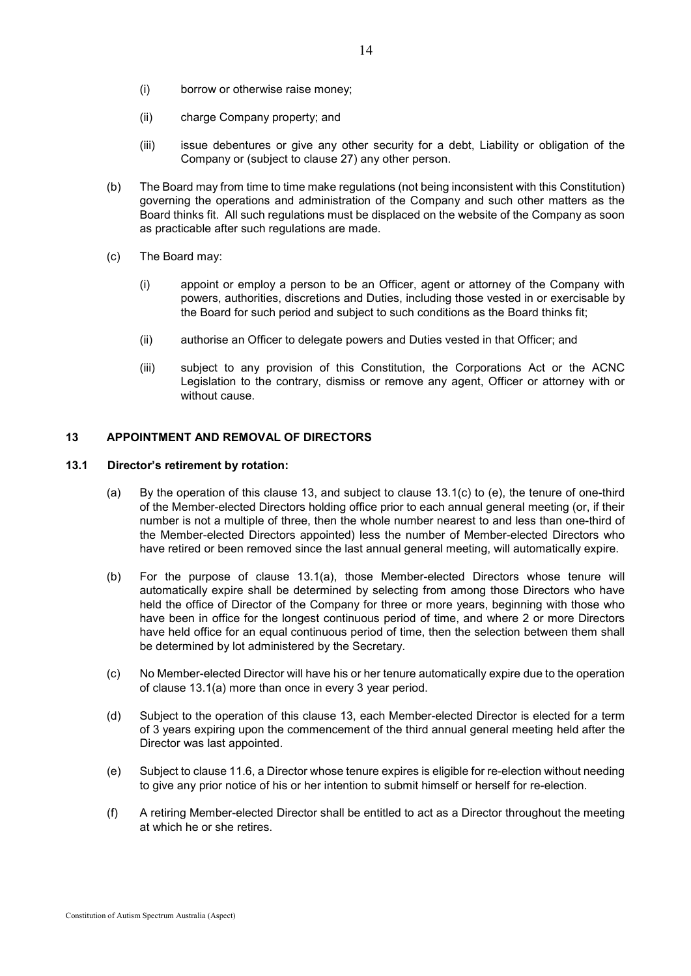- (i) borrow or otherwise raise money;
- (ii) charge Company property; and
- (iii) issue debentures or give any other security for a debt, Liability or obligation of the Company or (subject to clause [27\)](#page-31-0) any other person.
- (b) The Board may from time to time make regulations (not being inconsistent with this Constitution) governing the operations and administration of the Company and such other matters as the Board thinks fit. All such regulations must be displaced on the website of the Company as soon as practicable after such regulations are made.
- (c) The Board may:
	- (i) appoint or employ a person to be an Officer, agent or attorney of the Company with powers, authorities, discretions and Duties, including those vested in or exercisable by the Board for such period and subject to such conditions as the Board thinks fit;
	- (ii) authorise an Officer to delegate powers and Duties vested in that Officer; and
	- (iii) subject to any provision of this Constitution, the Corporations Act or the ACNC Legislation to the contrary, dismiss or remove any agent, Officer or attorney with or without cause.

# <span id="page-17-1"></span>**13 APPOINTMENT AND REMOVAL OF DIRECTORS**

## <span id="page-17-2"></span><span id="page-17-0"></span>**13.1 Director's retirement by rotation:**

- (a) By the operation of this clause 13, and subject to clause [13.1](#page-17-2)[\(c\)](#page-17-3) to [\(e\),](#page-17-4) the tenure of one-third of the Member-elected Directors holding office prior to each annual general meeting (or, if their number is not a multiple of three, then the whole number nearest to and less than one-third of the Member-elected Directors appointed) less the number of Member-elected Directors who have retired or been removed since the last annual general meeting, will automatically expire.
- (b) For the purpose of clause 13.1(a), those Member-elected Directors whose tenure will automatically expire shall be determined by selecting from among those Directors who have held the office of Director of the Company for three or more years, beginning with those who have been in office for the longest continuous period of time, and where 2 or more Directors have held office for an equal continuous period of time, then the selection between them shall be determined by lot administered by the Secretary.
- <span id="page-17-3"></span>(c) No Member-elected Director will have his or her tenure automatically expire due to the operation of clause [13.1](#page-17-2)[\(a\)](#page-17-0) more than once in every 3 year period.
- (d) Subject to the operation of this clause 13, each Member-elected Director is elected for a term of 3 years expiring upon the commencement of the third annual general meeting held after the Director was last appointed.
- <span id="page-17-4"></span>(e) Subject to clause [11.6,](#page-16-0) a Director whose tenure expires is eligible for re-election without needing to give any prior notice of his or her intention to submit himself or herself for re-election.
- (f) A retiring Member-elected Director shall be entitled to act as a Director throughout the meeting at which he or she retires.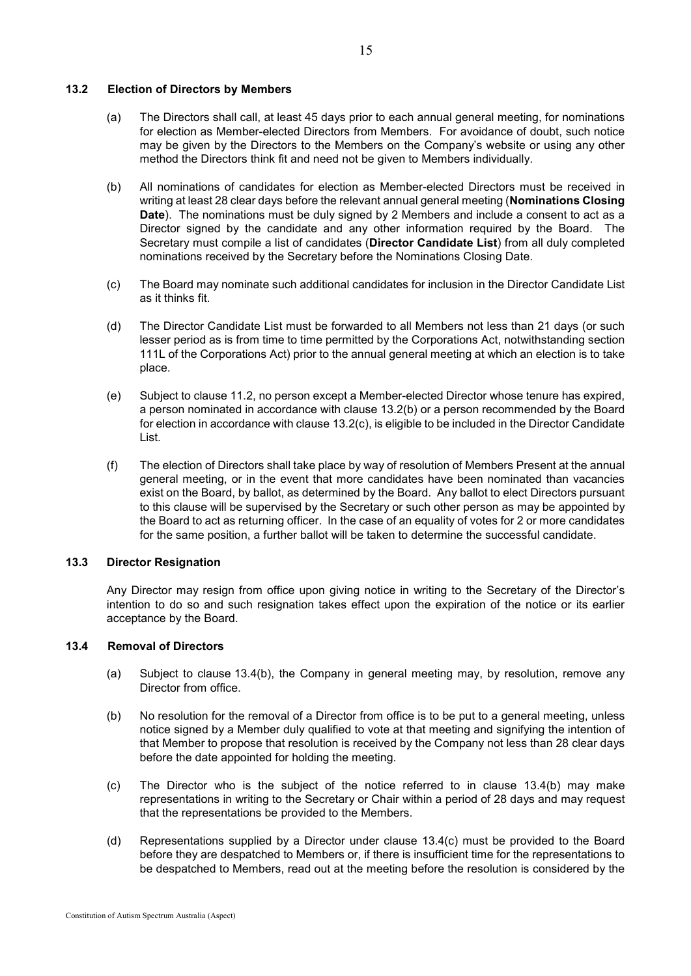## <span id="page-18-0"></span>**13.2 Election of Directors by Members**

- (a) The Directors shall call, at least 45 days prior to each annual general meeting, for nominations for election as Member-elected Directors from Members. For avoidance of doubt, such notice may be given by the Directors to the Members on the Company's website or using any other method the Directors think fit and need not be given to Members individually.
- <span id="page-18-1"></span>(b) All nominations of candidates for election as Member-elected Directors must be received in writing at least 28 clear days before the relevant annual general meeting (**Nominations Closing Date**). The nominations must be duly signed by 2 Members and include a consent to act as a Director signed by the candidate and any other information required by the Board. The Secretary must compile a list of candidates (**Director Candidate List**) from all duly completed nominations received by the Secretary before the Nominations Closing Date.
- (c) The Board may nominate such additional candidates for inclusion in the Director Candidate List as it thinks fit.
- (d) The Director Candidate List must be forwarded to all Members not less than 21 days (or such lesser period as is from time to time permitted by the Corporations Act, notwithstanding section 111L of the Corporations Act) prior to the annual general meeting at which an election is to take place.
- (e) Subject to clause 11.2, no person except a Member-elected Director whose tenure has expired, a person nominated in accordance with clause [13.2](#page-18-0)[\(b\)](#page-18-1) or a person recommended by the Board for election in accordance with clause 13.2(c), is eligible to be included in the Director Candidate List.
- (f) The election of Directors shall take place by way of resolution of Members Present at the annual general meeting, or in the event that more candidates have been nominated than vacancies exist on the Board, by ballot, as determined by the Board. Any ballot to elect Directors pursuant to this clause will be supervised by the Secretary or such other person as may be appointed by the Board to act as returning officer. In the case of an equality of votes for 2 or more candidates for the same position, a further ballot will be taken to determine the successful candidate.

#### **13.3 Director Resignation**

Any Director may resign from office upon giving notice in writing to the Secretary of the Director's intention to do so and such resignation takes effect upon the expiration of the notice or its earlier acceptance by the Board.

## <span id="page-18-2"></span>**13.4 Removal of Directors**

- (a) Subject to clause [13.4](#page-18-2)[\(b\),](#page-18-3) the Company in general meeting may, by resolution, remove any Director from office.
- <span id="page-18-3"></span>(b) No resolution for the removal of a Director from office is to be put to a general meeting, unless notice signed by a Member duly qualified to vote at that meeting and signifying the intention of that Member to propose that resolution is received by the Company not less than 28 clear days before the date appointed for holding the meeting.
- (c) The Director who is the subject of the notice referred to in clause [13.4](#page-18-2)[\(b\)](#page-18-3) may make representations in writing to the Secretary or Chair within a period of 28 days and may request that the representations be provided to the Members.
- (d) Representations supplied by a Director under clause 13.4(c) must be provided to the Board before they are despatched to Members or, if there is insufficient time for the representations to be despatched to Members, read out at the meeting before the resolution is considered by the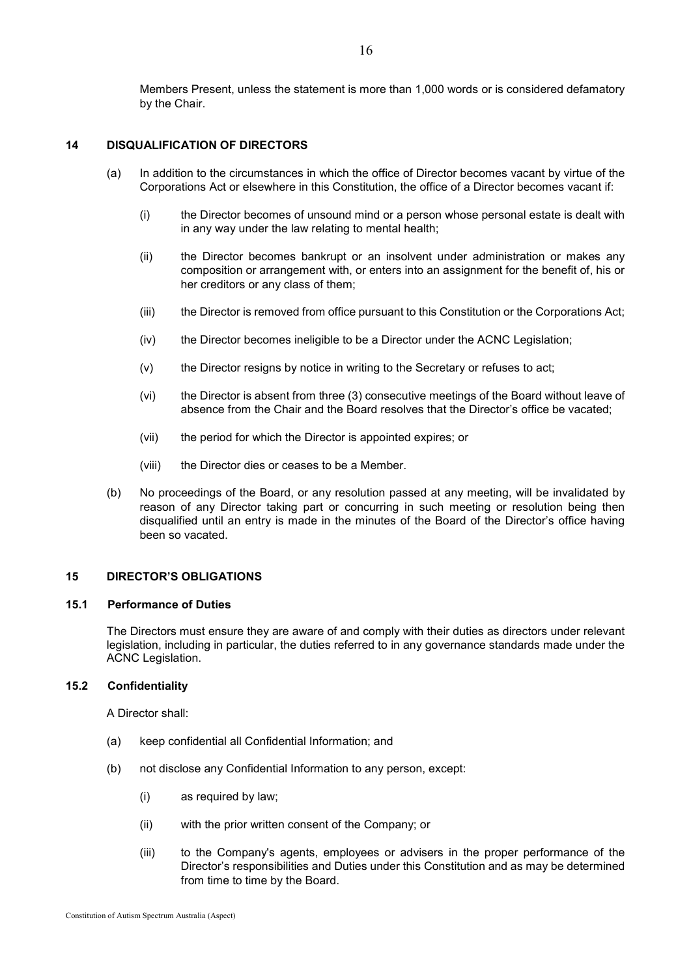Members Present, unless the statement is more than 1,000 words or is considered defamatory by the Chair.

## **14 DISQUALIFICATION OF DIRECTORS**

- (a) In addition to the circumstances in which the office of Director becomes vacant by virtue of the Corporations Act or elsewhere in this Constitution, the office of a Director becomes vacant if:
	- (i) the Director becomes of unsound mind or a person whose personal estate is dealt with in any way under the law relating to mental health;
	- (ii) the Director becomes bankrupt or an insolvent under administration or makes any composition or arrangement with, or enters into an assignment for the benefit of, his or her creditors or any class of them;
	- (iii) the Director is removed from office pursuant to this Constitution or the Corporations Act;
	- (iv) the Director becomes ineligible to be a Director under the ACNC Legislation;
	- (v) the Director resigns by notice in writing to the Secretary or refuses to act;
	- (vi) the Director is absent from three (3) consecutive meetings of the Board without leave of absence from the Chair and the Board resolves that the Director's office be vacated;
	- (vii) the period for which the Director is appointed expires; or
	- (viii) the Director dies or ceases to be a Member.
- (b) No proceedings of the Board, or any resolution passed at any meeting, will be invalidated by reason of any Director taking part or concurring in such meeting or resolution being then disqualified until an entry is made in the minutes of the Board of the Director's office having been so vacated.

## <span id="page-19-1"></span>**15 DIRECTOR'S OBLIGATIONS**

#### <span id="page-19-0"></span>**15.1 Performance of Duties**

The Directors must ensure they are aware of and comply with their duties as directors under relevant legislation, including in particular, the duties referred to in any governance standards made under the ACNC Legislation.

#### **15.2 Confidentiality**

A Director shall:

- (a) keep confidential all Confidential Information; and
- (b) not disclose any Confidential Information to any person, except:
	- (i) as required by law;
	- (ii) with the prior written consent of the Company; or
	- (iii) to the Company's agents, employees or advisers in the proper performance of the Director's responsibilities and Duties under this Constitution and as may be determined from time to time by the Board.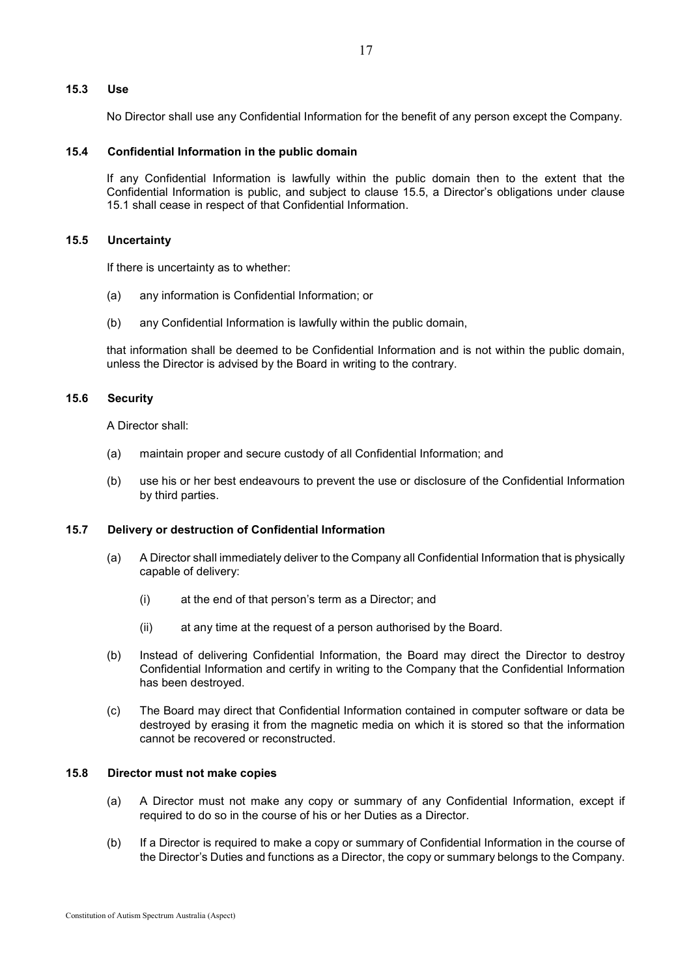## **15.3 Use**

No Director shall use any Confidential Information for the benefit of any person except the Company.

## **15.4 Confidential Information in the public domain**

If any Confidential Information is lawfully within the public domain then to the extent that the Confidential Information is public, and subject to clause [15.5,](#page-20-0) a Director's obligations under clause [15.1](#page-19-0) shall cease in respect of that Confidential Information.

#### <span id="page-20-0"></span>**15.5 Uncertainty**

If there is uncertainty as to whether:

- (a) any information is Confidential Information; or
- (b) any Confidential Information is lawfully within the public domain,

that information shall be deemed to be Confidential Information and is not within the public domain, unless the Director is advised by the Board in writing to the contrary.

## **15.6 Security**

A Director shall:

- (a) maintain proper and secure custody of all Confidential Information; and
- (b) use his or her best endeavours to prevent the use or disclosure of the Confidential Information by third parties.

## **15.7 Delivery or destruction of Confidential Information**

- (a) A Director shall immediately deliver to the Company all Confidential Information that is physically capable of delivery:
	- (i) at the end of that person's term as a Director; and
	- (ii) at any time at the request of a person authorised by the Board.
- (b) Instead of delivering Confidential Information, the Board may direct the Director to destroy Confidential Information and certify in writing to the Company that the Confidential Information has been destroyed.
- (c) The Board may direct that Confidential Information contained in computer software or data be destroyed by erasing it from the magnetic media on which it is stored so that the information cannot be recovered or reconstructed.

#### **15.8 Director must not make copies**

- (a) A Director must not make any copy or summary of any Confidential Information, except if required to do so in the course of his or her Duties as a Director.
- (b) If a Director is required to make a copy or summary of Confidential Information in the course of the Director's Duties and functions as a Director, the copy or summary belongs to the Company.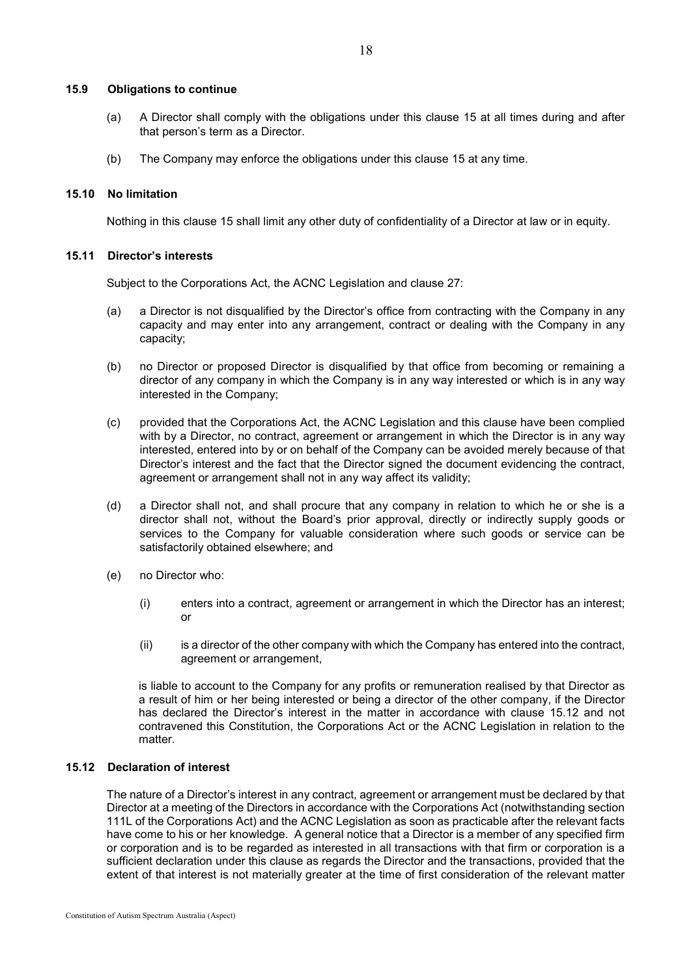#### **15.9 Obligations to continue**

- (a) A Director shall comply with the obligations under this clause [15](#page-19-1) at all times during and after that person's term as a Director.
- (b) The Company may enforce the obligations under this clause [15](#page-19-1) at any time.

## **15.10 No limitation**

Nothing in this clause [15](#page-19-1) shall limit any other duty of confidentiality of a Director at law or in equity.

## **15.11 Director's interests**

Subject to the Corporations Act, the ACNC Legislation and clause [27:](#page-31-0)

- (a) a Director is not disqualified by the Director's office from contracting with the Company in any capacity and may enter into any arrangement, contract or dealing with the Company in any capacity;
- (b) no Director or proposed Director is disqualified by that office from becoming or remaining a director of any company in which the Company is in any way interested or which is in any way interested in the Company;
- (c) provided that the Corporations Act, the ACNC Legislation and this clause have been complied with by a Director, no contract, agreement or arrangement in which the Director is in any way interested, entered into by or on behalf of the Company can be avoided merely because of that Director's interest and the fact that the Director signed the document evidencing the contract, agreement or arrangement shall not in any way affect its validity;
- (d) a Director shall not, and shall procure that any company in relation to which he or she is a director shall not, without the Board's prior approval, directly or indirectly supply goods or services to the Company for valuable consideration where such goods or service can be satisfactorily obtained elsewhere; and
- (e) no Director who:
	- (i) enters into a contract, agreement or arrangement in which the Director has an interest; or
	- (ii) is a director of the other company with which the Company has entered into the contract, agreement or arrangement,

is liable to account to the Company for any profits or remuneration realised by that Director as a result of him or her being interested or being a director of the other company, if the Director has declared the Director's interest in the matter in accordance with clause [15.12](#page-21-0) and not contravened this Constitution, the Corporations Act or the ACNC Legislation in relation to the matter.

## <span id="page-21-0"></span>**15.12 Declaration of interest**

The nature of a Director's interest in any contract, agreement or arrangement must be declared by that Director at a meeting of the Directors in accordance with the Corporations Act (notwithstanding section 111L of the Corporations Act) and the ACNC Legislation as soon as practicable after the relevant facts have come to his or her knowledge. A general notice that a Director is a member of any specified firm or corporation and is to be regarded as interested in all transactions with that firm or corporation is a sufficient declaration under this clause as regards the Director and the transactions, provided that the extent of that interest is not materially greater at the time of first consideration of the relevant matter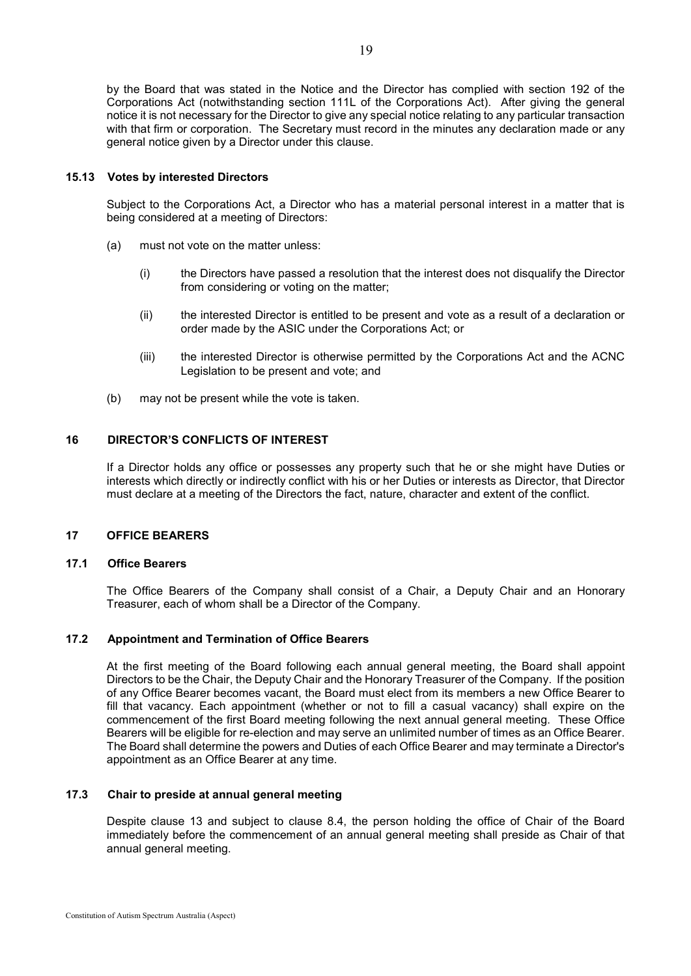by the Board that was stated in the Notice and the Director has complied with section 192 of the Corporations Act (notwithstanding section 111L of the Corporations Act). After giving the general notice it is not necessary for the Director to give any special notice relating to any particular transaction with that firm or corporation. The Secretary must record in the minutes any declaration made or any general notice given by a Director under this clause.

#### **15.13 Votes by interested Directors**

Subject to the Corporations Act, a Director who has a material personal interest in a matter that is being considered at a meeting of Directors:

- (a) must not vote on the matter unless:
	- (i) the Directors have passed a resolution that the interest does not disqualify the Director from considering or voting on the matter;
	- (ii) the interested Director is entitled to be present and vote as a result of a declaration or order made by the ASIC under the Corporations Act; or
	- (iii) the interested Director is otherwise permitted by the Corporations Act and the ACNC Legislation to be present and vote; and
- (b) may not be present while the vote is taken.

#### **16 DIRECTOR'S CONFLICTS OF INTEREST**

If a Director holds any office or possesses any property such that he or she might have Duties or interests which directly or indirectly conflict with his or her Duties or interests as Director, that Director must declare at a meeting of the Directors the fact, nature, character and extent of the conflict.

## **17 OFFICE BEARERS**

## <span id="page-22-0"></span>**17.1 Office Bearers**

The Office Bearers of the Company shall consist of a Chair, a Deputy Chair and an Honorary Treasurer, each of whom shall be a Director of the Company.

#### **17.2 Appointment and Termination of Office Bearers**

At the first meeting of the Board following each annual general meeting, the Board shall appoint Directors to be the Chair, the Deputy Chair and the Honorary Treasurer of the Company. If the position of any Office Bearer becomes vacant, the Board must elect from its members a new Office Bearer to fill that vacancy. Each appointment (whether or not to fill a casual vacancy) shall expire on the commencement of the first Board meeting following the next annual general meeting. These Office Bearers will be eligible for re-election and may serve an unlimited number of times as an Office Bearer. The Board shall determine the powers and Duties of each Office Bearer and may terminate a Director's appointment as an Office Bearer at any time.

## **17.3 Chair to preside at annual general meeting**

Despite clause 13 and subject to clause 8.4, the person holding the office of Chair of the Board immediately before the commencement of an annual general meeting shall preside as Chair of that annual general meeting.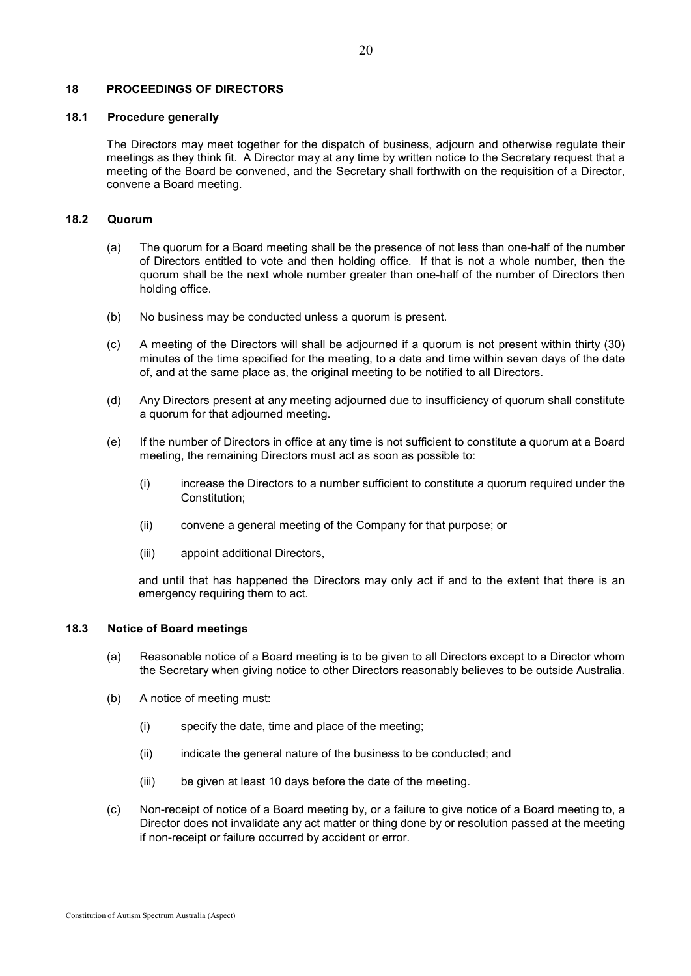#### **18 PROCEEDINGS OF DIRECTORS**

#### **18.1 Procedure generally**

The Directors may meet together for the dispatch of business, adjourn and otherwise regulate their meetings as they think fit. A Director may at any time by written notice to the Secretary request that a meeting of the Board be convened, and the Secretary shall forthwith on the requisition of a Director, convene a Board meeting.

#### **18.2 Quorum**

- (a) The quorum for a Board meeting shall be the presence of not less than one-half of the number of Directors entitled to vote and then holding office. If that is not a whole number, then the quorum shall be the next whole number greater than one-half of the number of Directors then holding office.
- (b) No business may be conducted unless a quorum is present.
- (c) A meeting of the Directors will shall be adjourned if a quorum is not present within thirty (30) minutes of the time specified for the meeting, to a date and time within seven days of the date of, and at the same place as, the original meeting to be notified to all Directors.
- (d) Any Directors present at any meeting adjourned due to insufficiency of quorum shall constitute a quorum for that adjourned meeting.
- (e) If the number of Directors in office at any time is not sufficient to constitute a quorum at a Board meeting, the remaining Directors must act as soon as possible to:
	- (i) increase the Directors to a number sufficient to constitute a quorum required under the Constitution;
	- (ii) convene a general meeting of the Company for that purpose; or
	- (iii) appoint additional Directors,

and until that has happened the Directors may only act if and to the extent that there is an emergency requiring them to act.

## **18.3 Notice of Board meetings**

- (a) Reasonable notice of a Board meeting is to be given to all Directors except to a Director whom the Secretary when giving notice to other Directors reasonably believes to be outside Australia.
- (b) A notice of meeting must:
	- (i) specify the date, time and place of the meeting;
	- (ii) indicate the general nature of the business to be conducted; and
	- (iii) be given at least 10 days before the date of the meeting.
- (c) Non-receipt of notice of a Board meeting by, or a failure to give notice of a Board meeting to, a Director does not invalidate any act matter or thing done by or resolution passed at the meeting if non-receipt or failure occurred by accident or error.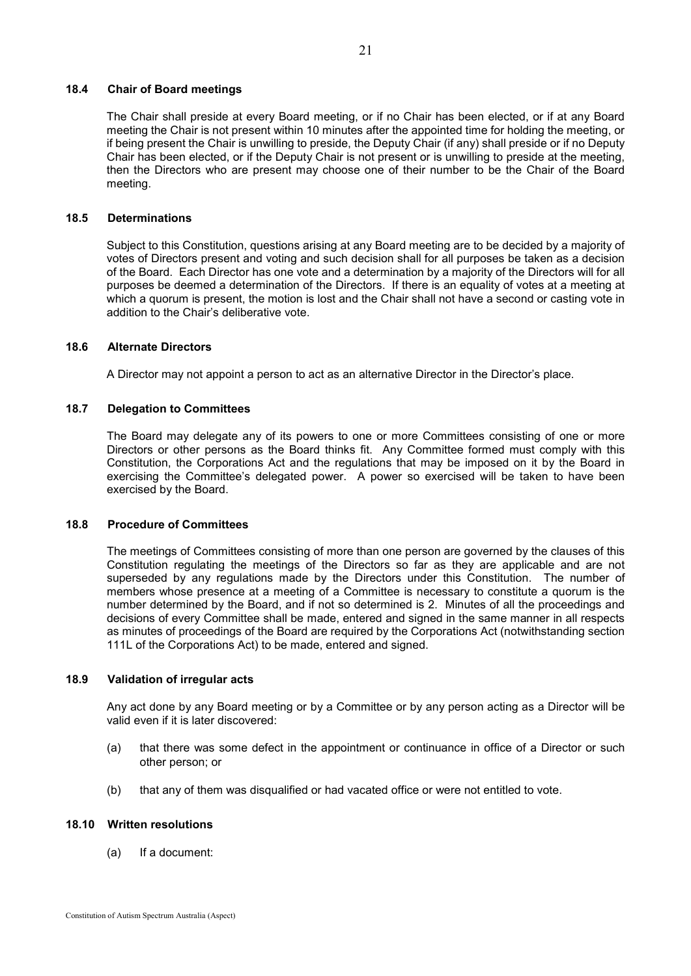## **18.4 Chair of Board meetings**

The Chair shall preside at every Board meeting, or if no Chair has been elected, or if at any Board meeting the Chair is not present within 10 minutes after the appointed time for holding the meeting, or if being present the Chair is unwilling to preside, the Deputy Chair (if any) shall preside or if no Deputy Chair has been elected, or if the Deputy Chair is not present or is unwilling to preside at the meeting, then the Directors who are present may choose one of their number to be the Chair of the Board meeting.

#### **18.5 Determinations**

Subject to this Constitution, questions arising at any Board meeting are to be decided by a majority of votes of Directors present and voting and such decision shall for all purposes be taken as a decision of the Board. Each Director has one vote and a determination by a majority of the Directors will for all purposes be deemed a determination of the Directors. If there is an equality of votes at a meeting at which a quorum is present, the motion is lost and the Chair shall not have a second or casting vote in addition to the Chair's deliberative vote.

#### **18.6 Alternate Directors**

A Director may not appoint a person to act as an alternative Director in the Director's place.

#### **18.7 Delegation to Committees**

The Board may delegate any of its powers to one or more Committees consisting of one or more Directors or other persons as the Board thinks fit. Any Committee formed must comply with this Constitution, the Corporations Act and the regulations that may be imposed on it by the Board in exercising the Committee's delegated power. A power so exercised will be taken to have been exercised by the Board.

#### **18.8 Procedure of Committees**

The meetings of Committees consisting of more than one person are governed by the clauses of this Constitution regulating the meetings of the Directors so far as they are applicable and are not superseded by any regulations made by the Directors under this Constitution. The number of members whose presence at a meeting of a Committee is necessary to constitute a quorum is the number determined by the Board, and if not so determined is 2. Minutes of all the proceedings and decisions of every Committee shall be made, entered and signed in the same manner in all respects as minutes of proceedings of the Board are required by the Corporations Act (notwithstanding section 111L of the Corporations Act) to be made, entered and signed.

#### **18.9 Validation of irregular acts**

Any act done by any Board meeting or by a Committee or by any person acting as a Director will be valid even if it is later discovered:

- (a) that there was some defect in the appointment or continuance in office of a Director or such other person; or
- (b) that any of them was disqualified or had vacated office or were not entitled to vote.

#### **18.10 Written resolutions**

(a) If a document: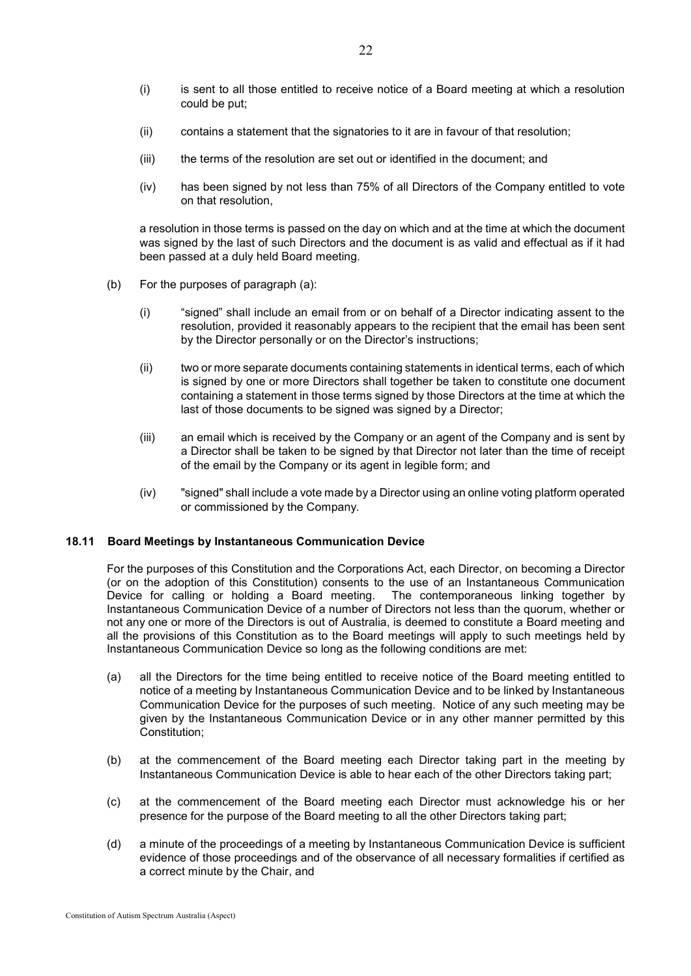- (i) is sent to all those entitled to receive notice of a Board meeting at which a resolution could be put;
- (ii) contains a statement that the signatories to it are in favour of that resolution;
- (iii) the terms of the resolution are set out or identified in the document; and
- (iv) has been signed by not less than 75% of all Directors of the Company entitled to vote on that resolution,

a resolution in those terms is passed on the day on which and at the time at which the document was signed by the last of such Directors and the document is as valid and effectual as if it had been passed at a duly held Board meeting.

- (b) For the purposes of paragraph (a):
	- (i) "signed" shall include an email from or on behalf of a Director indicating assent to the resolution, provided it reasonably appears to the recipient that the email has been sent by the Director personally or on the Director's instructions;
	- (ii) two or more separate documents containing statements in identical terms, each of which is signed by one or more Directors shall together be taken to constitute one document containing a statement in those terms signed by those Directors at the time at which the last of those documents to be signed was signed by a Director;
	- (iii) an email which is received by the Company or an agent of the Company and is sent by a Director shall be taken to be signed by that Director not later than the time of receipt of the email by the Company or its agent in legible form; and
	- (iv) "signed" shall include a vote made by a Director using an online voting platform operated or commissioned by the Company.

#### **18.11 Board Meetings by Instantaneous Communication Device**

For the purposes of this Constitution and the Corporations Act, each Director, on becoming a Director (or on the adoption of this Constitution) consents to the use of an Instantaneous Communication Device for calling or holding a Board meeting. The contemporaneous linking together by Instantaneous Communication Device of a number of Directors not less than the quorum, whether or not any one or more of the Directors is out of Australia, is deemed to constitute a Board meeting and all the provisions of this Constitution as to the Board meetings will apply to such meetings held by Instantaneous Communication Device so long as the following conditions are met:

- (a) all the Directors for the time being entitled to receive notice of the Board meeting entitled to notice of a meeting by Instantaneous Communication Device and to be linked by Instantaneous Communication Device for the purposes of such meeting. Notice of any such meeting may be given by the Instantaneous Communication Device or in any other manner permitted by this Constitution;
- (b) at the commencement of the Board meeting each Director taking part in the meeting by Instantaneous Communication Device is able to hear each of the other Directors taking part;
- (c) at the commencement of the Board meeting each Director must acknowledge his or her presence for the purpose of the Board meeting to all the other Directors taking part;
- (d) a minute of the proceedings of a meeting by Instantaneous Communication Device is sufficient evidence of those proceedings and of the observance of all necessary formalities if certified as a correct minute by the Chair, and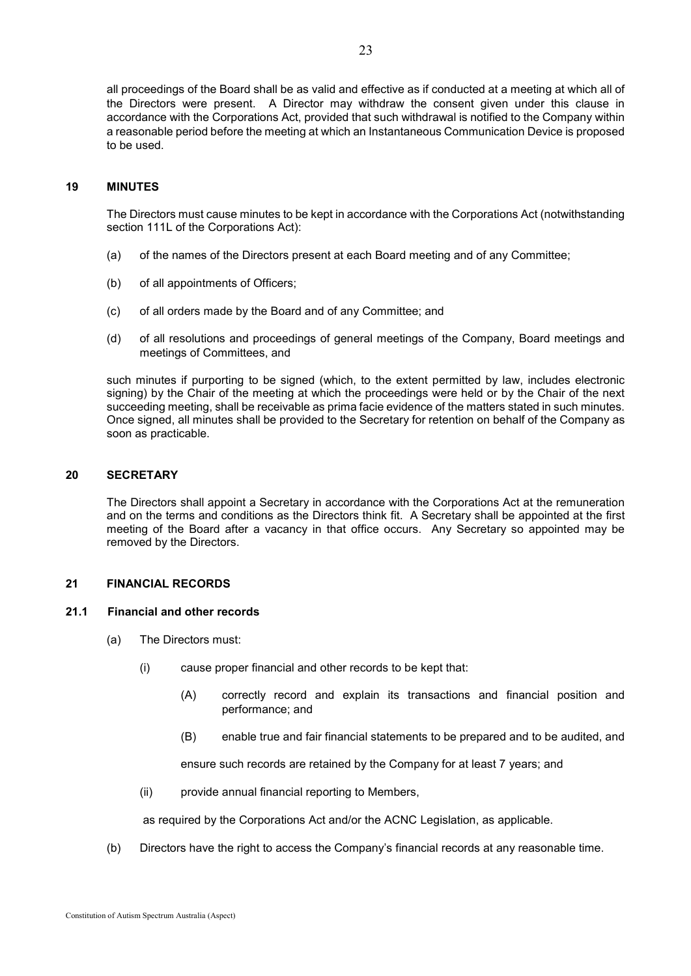all proceedings of the Board shall be as valid and effective as if conducted at a meeting at which all of the Directors were present. A Director may withdraw the consent given under this clause in accordance with the Corporations Act, provided that such withdrawal is notified to the Company within a reasonable period before the meeting at which an Instantaneous Communication Device is proposed to be used.

## **19 MINUTES**

The Directors must cause minutes to be kept in accordance with the Corporations Act (notwithstanding section 111L of the Corporations Act):

- (a) of the names of the Directors present at each Board meeting and of any Committee;
- (b) of all appointments of Officers;
- (c) of all orders made by the Board and of any Committee; and
- (d) of all resolutions and proceedings of general meetings of the Company, Board meetings and meetings of Committees, and

such minutes if purporting to be signed (which, to the extent permitted by law, includes electronic signing) by the Chair of the meeting at which the proceedings were held or by the Chair of the next succeeding meeting, shall be receivable as prima facie evidence of the matters stated in such minutes. Once signed, all minutes shall be provided to the Secretary for retention on behalf of the Company as soon as practicable.

## **20 SECRETARY**

The Directors shall appoint a Secretary in accordance with the Corporations Act at the remuneration and on the terms and conditions as the Directors think fit. A Secretary shall be appointed at the first meeting of the Board after a vacancy in that office occurs. Any Secretary so appointed may be removed by the Directors.

#### **21 FINANCIAL RECORDS**

#### **21.1 Financial and other records**

- (a) The Directors must:
	- (i) cause proper financial and other records to be kept that:
		- (A) correctly record and explain its transactions and financial position and performance; and
		- (B) enable true and fair financial statements to be prepared and to be audited, and

ensure such records are retained by the Company for at least 7 years; and

(ii) provide annual financial reporting to Members,

as required by the Corporations Act and/or the ACNC Legislation, as applicable.

(b) Directors have the right to access the Company's financial records at any reasonable time.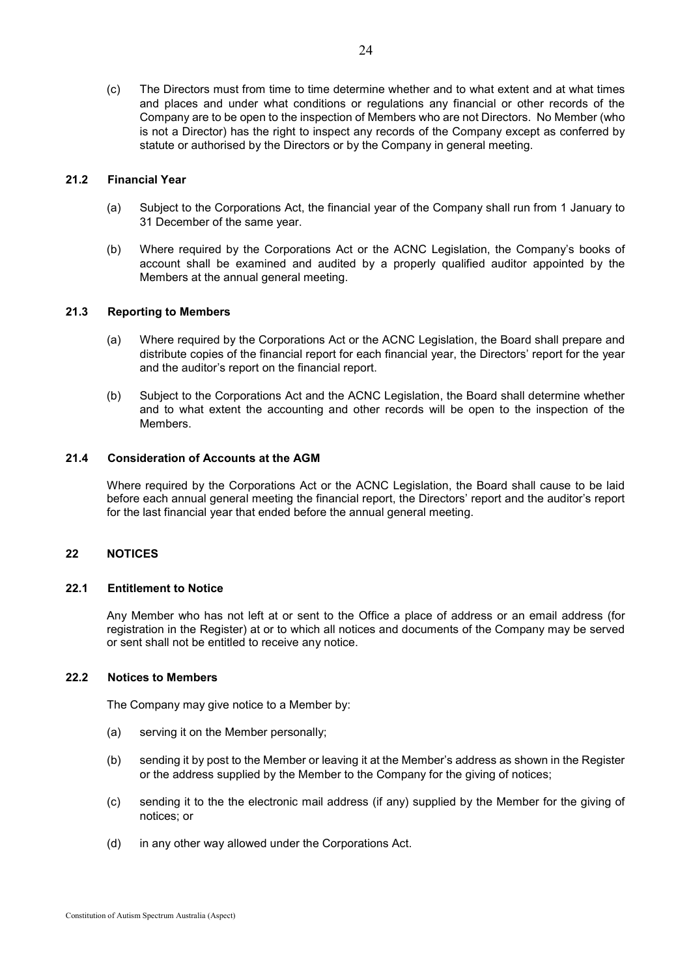(c) The Directors must from time to time determine whether and to what extent and at what times and places and under what conditions or regulations any financial or other records of the Company are to be open to the inspection of Members who are not Directors. No Member (who is not a Director) has the right to inspect any records of the Company except as conferred by statute or authorised by the Directors or by the Company in general meeting.

## <span id="page-27-0"></span>**21.2 Financial Year**

- (a) Subject to the Corporations Act, the financial year of the Company shall run from 1 January to 31 December of the same year.
- (b) Where required by the Corporations Act or the ACNC Legislation, the Company's books of account shall be examined and audited by a properly qualified auditor appointed by the Members at the annual general meeting.

## **21.3 Reporting to Members**

- (a) Where required by the Corporations Act or the ACNC Legislation, the Board shall prepare and distribute copies of the financial report for each financial year, the Directors' report for the year and the auditor's report on the financial report.
- (b) Subject to the Corporations Act and the ACNC Legislation, the Board shall determine whether and to what extent the accounting and other records will be open to the inspection of the Members.

#### **21.4 Consideration of Accounts at the AGM**

Where required by the Corporations Act or the ACNC Legislation, the Board shall cause to be laid before each annual general meeting the financial report, the Directors' report and the auditor's report for the last financial year that ended before the annual general meeting.

#### **22 NOTICES**

#### **22.1 Entitlement to Notice**

Any Member who has not left at or sent to the Office a place of address or an email address (for registration in the Register) at or to which all notices and documents of the Company may be served or sent shall not be entitled to receive any notice.

## **22.2 Notices to Members**

The Company may give notice to a Member by:

- (a) serving it on the Member personally;
- (b) sending it by post to the Member or leaving it at the Member's address as shown in the Register or the address supplied by the Member to the Company for the giving of notices;
- (c) sending it to the the electronic mail address (if any) supplied by the Member for the giving of notices; or
- (d) in any other way allowed under the Corporations Act.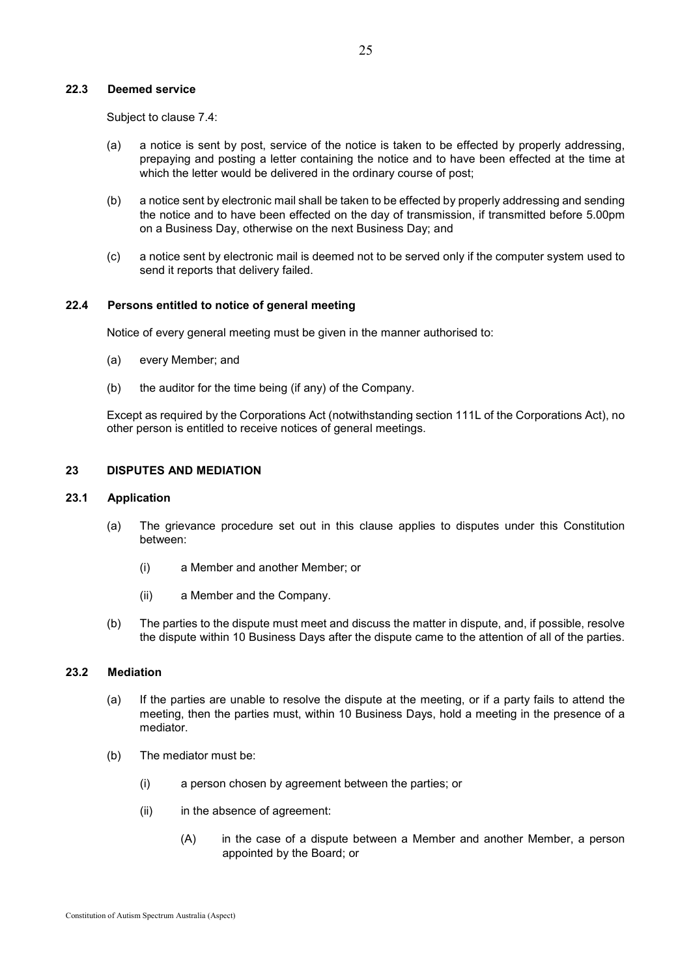# **22.3 Deemed service**

Subject to clause [7.4:](#page-11-2)

- (a) a notice is sent by post, service of the notice is taken to be effected by properly addressing, prepaying and posting a letter containing the notice and to have been effected at the time at which the letter would be delivered in the ordinary course of post;
- (b) a notice sent by electronic mail shall be taken to be effected by properly addressing and sending the notice and to have been effected on the day of transmission, if transmitted before 5.00pm on a Business Day, otherwise on the next Business Day; and
- (c) a notice sent by electronic mail is deemed not to be served only if the computer system used to send it reports that delivery failed.

## **22.4 Persons entitled to notice of general meeting**

Notice of every general meeting must be given in the manner authorised to:

- (a) every Member; and
- (b) the auditor for the time being (if any) of the Company.

Except as required by the Corporations Act (notwithstanding section 111L of the Corporations Act), no other person is entitled to receive notices of general meetings.

#### **23 DISPUTES AND MEDIATION**

#### **23.1 Application**

- (a) The grievance procedure set out in this clause applies to disputes under this Constitution between:
	- (i) a Member and another Member; or
	- (ii) a Member and the Company.
- (b) The parties to the dispute must meet and discuss the matter in dispute, and, if possible, resolve the dispute within 10 Business Days after the dispute came to the attention of all of the parties.

#### **23.2 Mediation**

- (a) If the parties are unable to resolve the dispute at the meeting, or if a party fails to attend the meeting, then the parties must, within 10 Business Days, hold a meeting in the presence of a mediator.
- (b) The mediator must be:
	- (i) a person chosen by agreement between the parties; or
	- (ii) in the absence of agreement:
		- (A) in the case of a dispute between a Member and another Member, a person appointed by the Board; or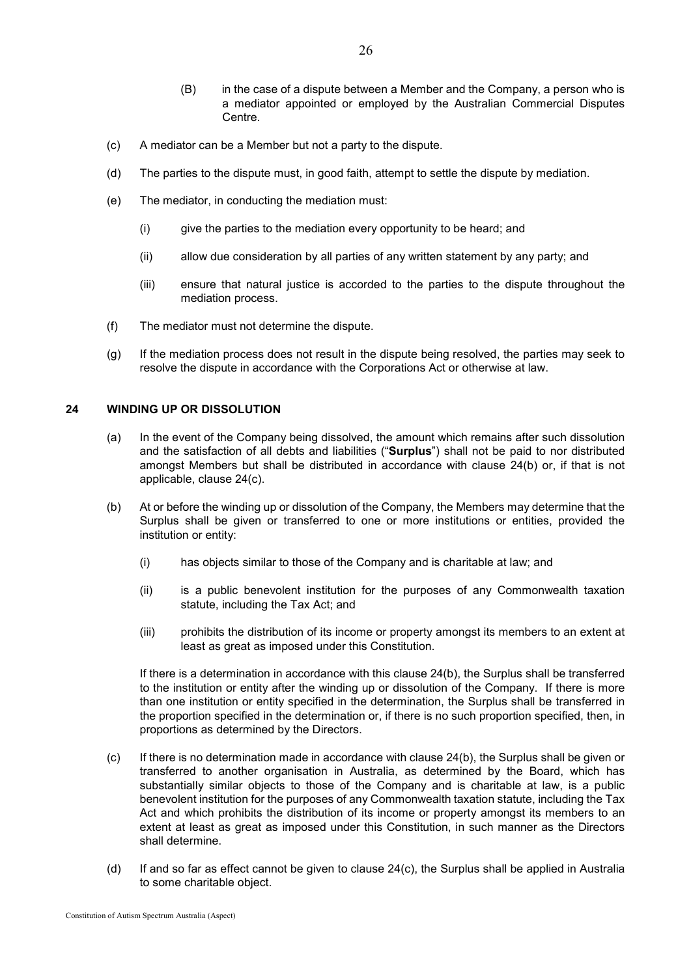a mediator appointed or employed by the Australian Commercial Disputes

26

- (c) A mediator can be a Member but not a party to the dispute.
- (d) The parties to the dispute must, in good faith, attempt to settle the dispute by mediation.
- (e) The mediator, in conducting the mediation must:

Centre.

- (i) give the parties to the mediation every opportunity to be heard; and
- (ii) allow due consideration by all parties of any written statement by any party; and
- (iii) ensure that natural justice is accorded to the parties to the dispute throughout the mediation process.
- (f) The mediator must not determine the dispute.
- (g) If the mediation process does not result in the dispute being resolved, the parties may seek to resolve the dispute in accordance with the Corporations Act or otherwise at law.

## <span id="page-29-0"></span>**24 WINDING UP OR DISSOLUTION**

- (a) In the event of the Company being dissolved, the amount which remains after such dissolution and the satisfaction of all debts and liabilities ("**Surplus**") shall not be paid to nor distributed amongst Members but shall be distributed in accordance with clause [24](#page-29-0)[\(b\)](#page-29-1) or, if that is not applicable, clause [24](#page-29-0)[\(c\).](#page-29-2)
- <span id="page-29-1"></span>(b) At or before the winding up or dissolution of the Company, the Members may determine that the Surplus shall be given or transferred to one or more institutions or entities, provided the institution or entity:
	- (i) has objects similar to those of the Company and is charitable at law; and
	- (ii) is a public benevolent institution for the purposes of any Commonwealth taxation statute, including the Tax Act; and
	- (iii) prohibits the distribution of its income or property amongst its members to an extent at least as great as imposed under this Constitution.

If there is a determination in accordance with this clause [24](#page-29-0)[\(b\),](#page-29-1) the Surplus shall be transferred to the institution or entity after the winding up or dissolution of the Company. If there is more than one institution or entity specified in the determination, the Surplus shall be transferred in the proportion specified in the determination or, if there is no such proportion specified, then, in proportions as determined by the Directors.

- <span id="page-29-2"></span> $(c)$  If there is no determination made in accordance with clause [24](#page-29-0)[\(b\),](#page-29-1) the Surplus shall be given or transferred to another organisation in Australia, as determined by the Board, which has substantially similar objects to those of the Company and is charitable at law, is a public benevolent institution for the purposes of any Commonwealth taxation statute, including the Tax Act and which prohibits the distribution of its income or property amongst its members to an extent at least as great as imposed under this Constitution, in such manner as the Directors shall determine.
- (d) If and so far as effect cannot be given to clause [24](#page-29-0)[\(c\),](#page-29-2) the Surplus shall be applied in Australia to some charitable object.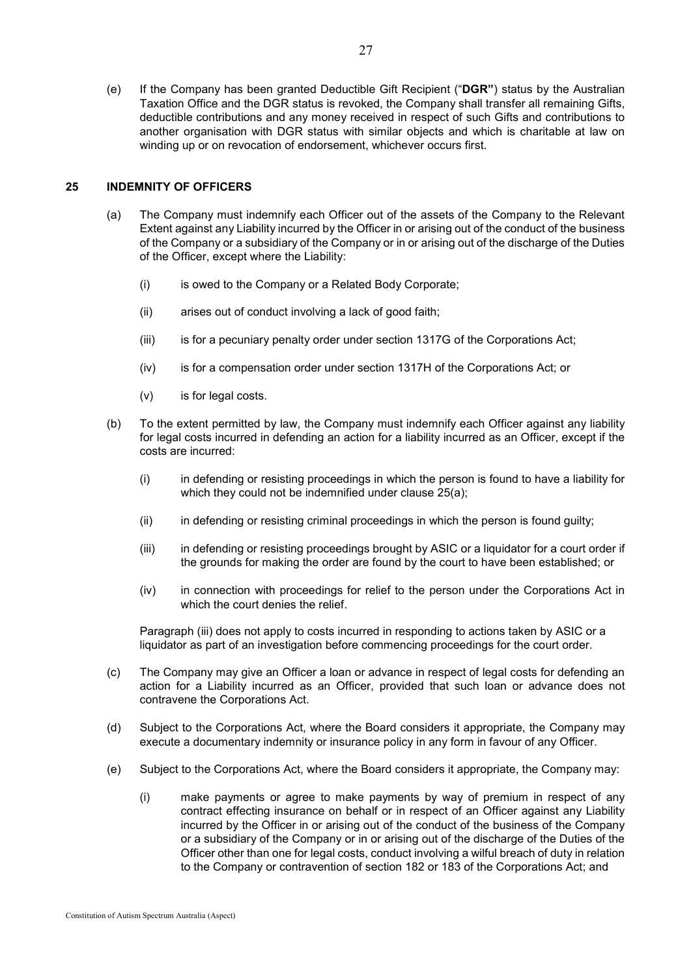(e) If the Company has been granted Deductible Gift Recipient ("**DGR"**) status by the Australian Taxation Office and the DGR status is revoked, the Company shall transfer all remaining Gifts, deductible contributions and any money received in respect of such Gifts and contributions to another organisation with DGR status with similar objects and which is charitable at law on winding up or on revocation of endorsement, whichever occurs first.

## <span id="page-30-1"></span><span id="page-30-0"></span>**25 INDEMNITY OF OFFICERS**

- (a) The Company must indemnify each Officer out of the assets of the Company to the Relevant Extent against any Liability incurred by the Officer in or arising out of the conduct of the business of the Company or a subsidiary of the Company or in or arising out of the discharge of the Duties of the Officer, except where the Liability:
	- (i) is owed to the Company or a Related Body Corporate;
	- (ii) arises out of conduct involving a lack of good faith;
	- (iii) is for a pecuniary penalty order under section 1317G of the Corporations Act;
	- (iv) is for a compensation order under section 1317H of the Corporations Act; or
	- (v) is for legal costs.
- <span id="page-30-3"></span>(b) To the extent permitted by law, the Company must indemnify each Officer against any liability for legal costs incurred in defending an action for a liability incurred as an Officer, except if the costs are incurred:
	- (i) in defending or resisting proceedings in which the person is found to have a liability for which they could not be indemnified under clause [25](#page-30-0)[\(a\);](#page-30-1)
	- (ii) in defending or resisting criminal proceedings in which the person is found guilty;
	- (iii) in defending or resisting proceedings brought by ASIC or a liquidator for a court order if the grounds for making the order are found by the court to have been established; or
	- (iv) in connection with proceedings for relief to the person under the Corporations Act in which the court denies the relief.

<span id="page-30-2"></span>Paragraph [\(iii\)](#page-30-2) does not apply to costs incurred in responding to actions taken by ASIC or a liquidator as part of an investigation before commencing proceedings for the court order.

- (c) The Company may give an Officer a loan or advance in respect of legal costs for defending an action for a Liability incurred as an Officer, provided that such loan or advance does not contravene the Corporations Act.
- (d) Subject to the Corporations Act, where the Board considers it appropriate, the Company may execute a documentary indemnity or insurance policy in any form in favour of any Officer.
- (e) Subject to the Corporations Act, where the Board considers it appropriate, the Company may:
	- (i) make payments or agree to make payments by way of premium in respect of any contract effecting insurance on behalf or in respect of an Officer against any Liability incurred by the Officer in or arising out of the conduct of the business of the Company or a subsidiary of the Company or in or arising out of the discharge of the Duties of the Officer other than one for legal costs, conduct involving a wilful breach of duty in relation to the Company or contravention of section 182 or 183 of the Corporations Act; and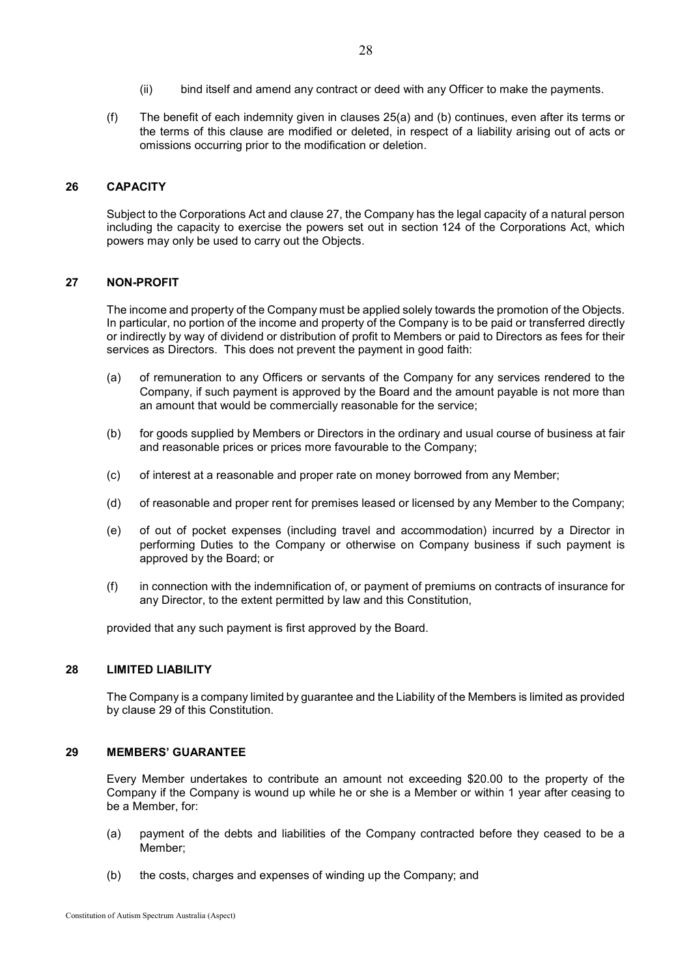- (ii) bind itself and amend any contract or deed with any Officer to make the payments.
- (f) The benefit of each indemnity given in clauses [25](#page-30-0)[\(a\)](#page-30-1) and [\(b\)](#page-30-3) continues, even after its terms or the terms of this clause are modified or deleted, in respect of a liability arising out of acts or omissions occurring prior to the modification or deletion.

## **26 CAPACITY**

Subject to the Corporations Act and clause [27,](#page-31-0) the Company has the legal capacity of a natural person including the capacity to exercise the powers set out in section 124 of the Corporations Act, which powers may only be used to carry out the Objects.

#### <span id="page-31-0"></span>**27 NON-PROFIT**

The income and property of the Company must be applied solely towards the promotion of the Objects. In particular, no portion of the income and property of the Company is to be paid or transferred directly or indirectly by way of dividend or distribution of profit to Members or paid to Directors as fees for their services as Directors. This does not prevent the payment in good faith:

- (a) of remuneration to any Officers or servants of the Company for any services rendered to the Company, if such payment is approved by the Board and the amount payable is not more than an amount that would be commercially reasonable for the service;
- (b) for goods supplied by Members or Directors in the ordinary and usual course of business at fair and reasonable prices or prices more favourable to the Company;
- (c) of interest at a reasonable and proper rate on money borrowed from any Member;
- (d) of reasonable and proper rent for premises leased or licensed by any Member to the Company;
- (e) of out of pocket expenses (including travel and accommodation) incurred by a Director in performing Duties to the Company or otherwise on Company business if such payment is approved by the Board; or
- (f) in connection with the indemnification of, or payment of premiums on contracts of insurance for any Director, to the extent permitted by law and this Constitution,

provided that any such payment is first approved by the Board.

# **28 LIMITED LIABILITY**

The Company is a company limited by guarantee and the Liability of the Members is limited as provided by clause [29](#page-31-1) of this Constitution.

#### <span id="page-31-1"></span>**29 MEMBERS' GUARANTEE**

Every Member undertakes to contribute an amount not exceeding \$20.00 to the property of the Company if the Company is wound up while he or she is a Member or within 1 year after ceasing to be a Member, for:

- (a) payment of the debts and liabilities of the Company contracted before they ceased to be a Member;
- (b) the costs, charges and expenses of winding up the Company; and